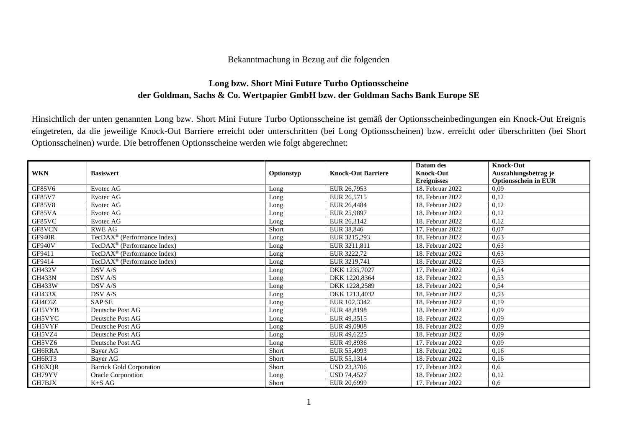## Bekanntmachung in Bezug auf die folgenden

## **Long bzw. Short Mini Future Turbo Optionsscheine der Goldman, Sachs & Co. Wertpapier GmbH bzw. der Goldman Sachs Bank Europe SE**

Hinsichtlich der unten genannten Long bzw. Short Mini Future Turbo Optionsscheine ist gemäß der Optionsscheinbedingungen ein Knock-Out Ereignis eingetreten, da die jeweilige Knock-Out Barriere erreicht oder unterschritten (bei Long Optionsscheinen) bzw. erreicht oder überschritten (bei Short Optionsscheinen) wurde. Die betroffenen Optionsscheine werden wie folgt abgerechnet:

|               |                                         |            |                           | Datum des          | <b>Knock-Out</b>            |
|---------------|-----------------------------------------|------------|---------------------------|--------------------|-----------------------------|
| <b>WKN</b>    | <b>Basiswert</b>                        | Optionstyp | <b>Knock-Out Barriere</b> | <b>Knock-Out</b>   | Auszahlungsbetrag je        |
|               |                                         |            |                           | <b>Ereignisses</b> | <b>Optionsschein in EUR</b> |
| GF85V6        | Evotec AG                               | Long       | EUR 26,7953               | 18. Februar 2022   | 0,09                        |
| <b>GF85V7</b> | Evotec AG                               | Long       | EUR 26,5715               | 18. Februar 2022   | 0,12                        |
| <b>GF85V8</b> | Evotec AG                               | Long       | EUR 26,4484               | 18. Februar 2022   | 0,12                        |
| GF85VA        | Evotec AG                               | Long       | EUR 25,9897               | 18. Februar 2022   | 0,12                        |
| GF85VC        | Evotec AG                               | Long       | EUR 26,3142               | 18. Februar 2022   | 0,12                        |
| GF8VCN        | <b>RWE AG</b>                           | Short      | EUR 38,846                | 17. Februar 2022   | 0,07                        |
| GF940R        | TecDAX <sup>®</sup> (Performance Index) | Long       | EUR 3215.293              | 18. Februar 2022   | 0,63                        |
| GF940V        | TecDAX <sup>®</sup> (Performance Index) | Long       | EUR 3211,811              | 18. Februar 2022   | 0,63                        |
| GF9411        | TecDAX <sup>®</sup> (Performance Index) | Long       | EUR 3222.72               | 18. Februar 2022   | 0,63                        |
| GF9414        | TecDAX <sup>®</sup> (Performance Index) | Long       | EUR 3219,741              | 18. Februar 2022   | 0,63                        |
| GH432V        | DSV A/S                                 | Long       | DKK 1235,7027             | 17. Februar 2022   | 0,54                        |
| <b>GH433N</b> | DSV A/S                                 | Long       | DKK 1220,8364             | 18. Februar 2022   | 0,53                        |
| GH433W        | DSV A/S                                 | Long       | DKK 1228,2589             | 18. Februar 2022   | 0,54                        |
| <b>GH433X</b> | DSV A/S                                 | Long       | DKK 1213,4032             | 18. Februar 2022   | 0,53                        |
| GH4C6Z        | <b>SAP SE</b>                           | Long       | EUR 102,3342              | 18. Februar 2022   | 0,19                        |
| GH5VYB        | Deutsche Post AG                        | Long       | EUR 48,8198               | 18. Februar 2022   | 0,09                        |
| GH5VYC        | Deutsche Post AG                        | Long       | EUR 49.3515               | 18. Februar 2022   | 0.09                        |
| GH5VYF        | Deutsche Post AG                        | Long       | EUR 49,0908               | 18. Februar 2022   | 0,09                        |
| GH5VZ4        | Deutsche Post AG                        | Long       | EUR 49,6225               | 18. Februar 2022   | 0,09                        |
| GH5VZ6        | Deutsche Post AG                        | Long       | EUR 49,8936               | 17. Februar 2022   | 0,09                        |
| GH6RRA        | Bayer AG                                | Short      | EUR 55,4993               | 18. Februar 2022   | 0,16                        |
| GH6RT3        | Bayer AG                                | Short      | EUR 55,1314               | 18. Februar 2022   | 0,16                        |
| GH6XQR        | <b>Barrick Gold Corporation</b>         | Short      | <b>USD 23,3706</b>        | 17. Februar 2022   | 0,6                         |
| GH79YV        | Oracle Corporation                      | Long       | <b>USD 74,4527</b>        | 18. Februar 2022   | 0,12                        |
| GH7BJX        | K+S AG                                  | Short      | EUR 20,6999               | 17. Februar 2022   | 0,6                         |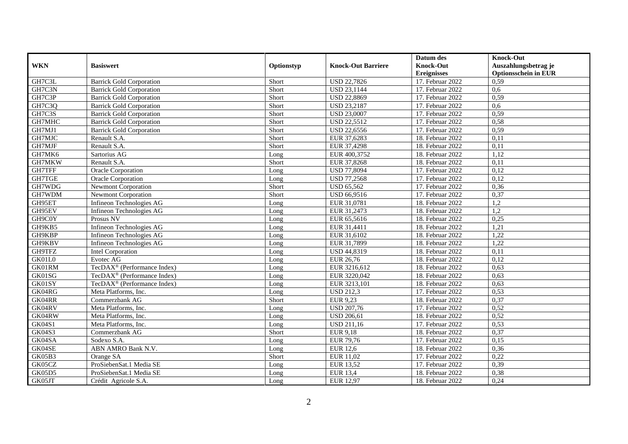|               |                                         |            |                           | Datum des          | <b>Knock-Out</b>            |
|---------------|-----------------------------------------|------------|---------------------------|--------------------|-----------------------------|
| <b>WKN</b>    | <b>Basiswert</b>                        | Optionstyp | <b>Knock-Out Barriere</b> | <b>Knock-Out</b>   | Auszahlungsbetrag je        |
|               |                                         |            |                           | <b>Ereignisses</b> | <b>Optionsschein in EUR</b> |
| GH7C3L        | <b>Barrick Gold Corporation</b>         | Short      | <b>USD 22,7826</b>        | 17. Februar 2022   | 0,59                        |
| GH7C3N        | <b>Barrick Gold Corporation</b>         | Short      | <b>USD 23,1144</b>        | 17. Februar 2022   | 0,6                         |
| GH7C3P        | <b>Barrick Gold Corporation</b>         | Short      | <b>USD 22,8869</b>        | 17. Februar 2022   | 0,59                        |
| GH7C3Q        | <b>Barrick Gold Corporation</b>         | Short      | <b>USD 23,2187</b>        | 17. Februar 2022   | 0,6                         |
| GH7C3S        | <b>Barrick Gold Corporation</b>         | Short      | <b>USD 23,0007</b>        | 17. Februar 2022   | 0,59                        |
| GH7MHC        | <b>Barrick Gold Corporation</b>         | Short      | <b>USD 22,5512</b>        | 17. Februar 2022   | 0,58                        |
| GH7MJ1        | <b>Barrick Gold Corporation</b>         | Short      | <b>USD 22,6556</b>        | 17. Februar 2022   | 0,59                        |
| GH7MJC        | Renault S.A.                            | Short      | EUR 37,6283               | 18. Februar 2022   | 0,11                        |
| GH7MJF        | Renault S.A.                            | Short      | EUR 37,4298               | 18. Februar 2022   | 0,11                        |
| GH7MK6        | Sartorius AG                            | Long       | EUR 400,3752              | 18. Februar 2022   | 1,12                        |
| GH7MKW        | Renault S.A.                            | Short      | EUR 37,8268               | 18. Februar 2022   | 0,11                        |
| GH7TFF        | <b>Oracle Corporation</b>               | Long       | <b>USD 77,8094</b>        | 17. Februar 2022   | 0,12                        |
| GH7TGE        | <b>Oracle Corporation</b>               | Long       | <b>USD 77,2568</b>        | 17. Februar 2022   | 0,12                        |
| GH7WDG        | <b>Newmont Corporation</b>              | Short      | <b>USD 65,562</b>         | 17. Februar 2022   | 0,36                        |
| GH7WDM        | Newmont Corporation                     | Short      | USD 66,9516               | 17. Februar 2022   | 0,37                        |
| GH95ET        | Infineon Technologies AG                | Long       | EUR 31,0781               | 18. Februar 2022   | 1,2                         |
| GH95EV        | Infineon Technologies AG                | Long       | EUR 31,2473               | 18. Februar 2022   | 1,2                         |
| GH9C0Y        | Prosus NV                               | Long       | EUR 65,5616               | 18. Februar 2022   | 0,25                        |
| GH9KB5        | Infineon Technologies AG                | Long       | EUR 31,4411               | 18. Februar 2022   | 1,21                        |
| GH9KBP        | Infineon Technologies AG                | Long       | EUR 31,6102               | 18. Februar 2022   | 1,22                        |
| GH9KBV        | Infineon Technologies AG                | Long       | EUR 31,7899               | 18. Februar 2022   | 1,22                        |
| GH9TFZ        | <b>Intel Corporation</b>                | Long       | USD 44,8319               | 18. Februar 2022   | 0,11                        |
| GK01L0        | Evotec AG                               | Long       | EUR 26,76                 | 18. Februar 2022   | 0,12                        |
| GK01RM        | TecDAX <sup>®</sup> (Performance Index) | Long       | EUR 3216,612              | 18. Februar 2022   | 0,63                        |
| GK01SG        | TecDAX <sup>®</sup> (Performance Index) | Long       | EUR 3220,042              | 18. Februar 2022   | 0,63                        |
| GK01SY        | TecDAX <sup>®</sup> (Performance Index) | Long       | EUR 3213,101              | 18. Februar 2022   | 0,63                        |
| GK04RG        | Meta Platforms, Inc.                    | Long       | <b>USD 212,3</b>          | 17. Februar 2022   | 0,53                        |
| GK04RR        | Commerzbank AG                          | Short      | EUR 9,23                  | 18. Februar 2022   | 0,37                        |
| GK04RV        | Meta Platforms, Inc.                    | Long       | <b>USD 207,76</b>         | 17. Februar 2022   | 0,52                        |
| GK04RW        | Meta Platforms, Inc.                    | Long       | <b>USD 206,61</b>         | 18. Februar 2022   | 0,52                        |
| GK04S1        | Meta Platforms, Inc.                    | Long       | <b>USD 211,16</b>         | 17. Februar 2022   | 0,53                        |
| <b>GK04S3</b> | Commerzbank AG                          | Short      | <b>EUR 9,18</b>           | 18. Februar 2022   | 0,37                        |
| GK04SA        | Sodexo S.A.                             | Long       | EUR 79,76                 | 17. Februar 2022   | 0,15                        |
| GK04SE        | ABN AMRO Bank N.V.                      | Long       | <b>EUR 12,6</b>           | 18. Februar 2022   | 0,36                        |
| GK05B3        | Orange SA                               | Short      | EUR 11,02                 | 17. Februar 2022   | 0,22                        |
| GK05CZ        | ProSiebenSat.1 Media SE                 | Long       | <b>EUR 13,52</b>          | 17. Februar 2022   | 0,39                        |
| GK05D5        | ProSiebenSat.1 Media SE                 | Long       | <b>EUR 13,4</b>           | 18. Februar 2022   | 0,38                        |
| GK05JT        | Crédit Agricole S.A.                    | Long       | <b>EUR 12,97</b>          | 18. Februar 2022   | 0,24                        |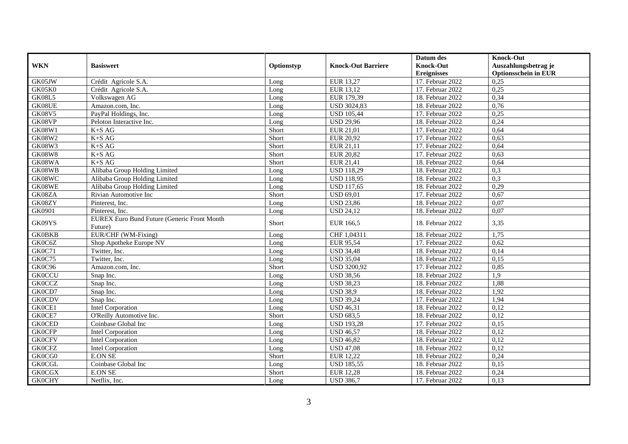|               |                                                                |            |                           | Datum des          | <b>Knock-Out</b>            |
|---------------|----------------------------------------------------------------|------------|---------------------------|--------------------|-----------------------------|
| <b>WKN</b>    | <b>Basiswert</b>                                               | Optionstyp | <b>Knock-Out Barriere</b> | <b>Knock-Out</b>   | Auszahlungsbetrag je        |
|               |                                                                |            |                           | <b>Ereignisses</b> | <b>Optionsschein in EUR</b> |
| GK05JW        | Crédit Agricole S.A.                                           | Long       | EUR 13,27                 | 17. Februar 2022   | 0,25                        |
| GK05K0        | Crédit Agricole S.A.                                           | Long       | EUR 13,12                 | 17. Februar 2022   | 0,25                        |
| GK08L5        | Volkswagen AG                                                  | Long       | EUR 179,39                | 18. Februar 2022   | 0,34                        |
| GK08UE        | Amazon.com, Inc.                                               | Long       | <b>USD 3024,83</b>        | 18. Februar 2022   | 0,76                        |
| <b>GK08V5</b> | PayPal Holdings, Inc.                                          | Long       | <b>USD 105,44</b>         | 17. Februar 2022   | 0,25                        |
| GK08VP        | Peloton Interactive Inc.                                       | Long       | <b>USD 29,96</b>          | 18. Februar 2022   | 0,24                        |
| GK08W1        | $K+SAG$                                                        | Short      | EUR 21,01                 | 17. Februar 2022   | 0,64                        |
| <b>GK08W2</b> | $K+SAG$                                                        | Short      | <b>EUR 20,92</b>          | 17. Februar 2022   | 0,63                        |
| <b>GK08W3</b> | $K+SAG$                                                        | Short      | EUR 21,11                 | 17. Februar 2022   | 0,64                        |
| <b>GK08W8</b> | $K+SAG$                                                        | Short      | <b>EUR 20,82</b>          | 17. Februar 2022   | 0,63                        |
| GK08WA        | $K+SAG$                                                        | Short      | <b>EUR 21,41</b>          | 18. Februar 2022   | 0,64                        |
| GK08WB        | Alibaba Group Holding Limited                                  | Long       | <b>USD 118,29</b>         | 18. Februar 2022   | 0,3                         |
| GK08WC        | Alibaba Group Holding Limited                                  | Long       | <b>USD 118,95</b>         | 18. Februar 2022   | 0.3                         |
| GK08WE        | Alibaba Group Holding Limited                                  | Long       | <b>USD 117,65</b>         | 18. Februar 2022   | 0,29                        |
| GK08ZA        | Rivian Automotive Inc                                          | Short      | <b>USD 69,01</b>          | 17. Februar 2022   | 0,67                        |
| GK08ZY        | Pinterest, Inc.                                                | Long       | <b>USD 23,86</b>          | 18. Februar 2022   | 0,07                        |
| GK0901        | Pinterest, Inc.                                                | Long       | <b>USD 24,12</b>          | 18. Februar 2022   | 0,07                        |
| GK09YS        | <b>EUREX Euro Bund Future (Generic Front Month)</b><br>Future) | Short      | EUR 166,5                 | 18. Februar 2022   | 3,35                        |
| <b>GK0BKB</b> | EUR/CHF (WM-Fixing)                                            | Long       | CHF 1,04311               | 18. Februar 2022   | 1,75                        |
| GK0C6Z        | Shop Apotheke Europe NV                                        | Long       | <b>EUR 95,54</b>          | 17. Februar 2022   | 0,62                        |
| GK0C71        | Twitter, Inc.                                                  | Long       | <b>USD 34,48</b>          | 18. Februar 2022   | 0,14                        |
| GK0C75        | Twitter, Inc.                                                  | Long       | <b>USD 35,04</b>          | 18. Februar 2022   | 0,15                        |
| GK0C96        | Amazon.com, Inc.                                               | Short      | <b>USD 3200,92</b>        | 17. Februar 2022   | 0,85                        |
| <b>GK0CCU</b> | Snap Inc.                                                      | Long       | <b>USD 38,56</b>          | 18. Februar 2022   | 1,9                         |
| <b>GK0CCZ</b> | Snap Inc.                                                      | Long       | <b>USD 38,23</b>          | 18. Februar 2022   | 1,88                        |
| GK0CD7        | Snap Inc.                                                      | Long       | <b>USD 38,9</b>           | 18. Februar 2022   | 1,92                        |
| <b>GK0CDV</b> | Snap Inc.                                                      | Long       | <b>USD 39,24</b>          | 17. Februar 2022   | 1,94                        |
| GK0CE1        | <b>Intel Corporation</b>                                       | Long       | <b>USD 46,31</b>          | 18. Februar 2022   | 0,12                        |
| GK0CE7        | O'Reilly Automotive Inc.                                       | Short      | $\overline{USD 683,5}$    | 18. Februar 2022   | 0,12                        |
| <b>GK0CED</b> | Coinbase Global Inc                                            | Long       | <b>USD 193,28</b>         | 17. Februar 2022   | 0,15                        |
| <b>GK0CFP</b> | <b>Intel Corporation</b>                                       | Long       | <b>USD 46,57</b>          | 18. Februar 2022   | 0,12                        |
| <b>GK0CFV</b> | <b>Intel Corporation</b>                                       | Long       | <b>USD 46,82</b>          | 18. Februar 2022   | 0,12                        |
| <b>GK0CFZ</b> | <b>Intel Corporation</b>                                       | Long       | <b>USD 47,08</b>          | 18. Februar 2022   | 0,12                        |
| GK0CG0        | <b>E.ON SE</b>                                                 | Short      | <b>EUR 12,22</b>          | 18. Februar 2022   | 0,24                        |
| <b>GK0CGL</b> | Coinbase Global Inc                                            | Long       | <b>USD 185,55</b>         | 18. Februar 2022   | 0,15                        |
| <b>GK0CGX</b> | <b>E.ON SE</b>                                                 | Short      | <b>EUR 12,28</b>          | 18. Februar 2022   | 0,24                        |
| <b>GK0CHY</b> | Netflix, Inc.                                                  | Long       | <b>USD 386,7</b>          | 17. Februar 2022   | 0,13                        |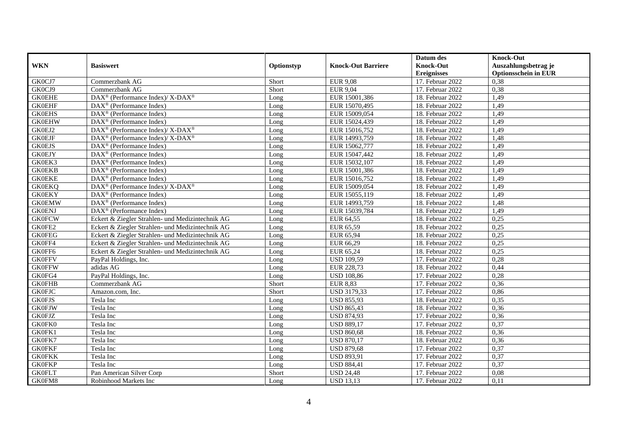|               |                                                             |            |                           | Datum des          | <b>Knock-Out</b>            |
|---------------|-------------------------------------------------------------|------------|---------------------------|--------------------|-----------------------------|
| <b>WKN</b>    | <b>Basiswert</b>                                            | Optionstyp | <b>Knock-Out Barriere</b> | <b>Knock-Out</b>   | Auszahlungsbetrag je        |
|               |                                                             |            |                           | <b>Ereignisses</b> | <b>Optionsschein in EUR</b> |
| GK0CJ7        | Commerzbank AG                                              | Short      | <b>EUR 9,08</b>           | 17. Februar 2022   | 0,38                        |
| GK0CJ9        | Commerzbank AG                                              | Short      | <b>EUR 9,04</b>           | 17. Februar 2022   | 0,38                        |
| <b>GK0EHE</b> | DAX <sup>®</sup> (Performance Index)/ X-DAX <sup>®</sup>    | Long       | EUR 15001,386             | 18. Februar 2022   | 1,49                        |
| <b>GK0EHF</b> | DAX <sup>®</sup> (Performance Index)                        | Long       | EUR 15070,495             | 18. Februar 2022   | 1,49                        |
| <b>GK0EHS</b> | DAX <sup>®</sup> (Performance Index)                        | Long       | EUR 15009,054             | 18. Februar 2022   | 1,49                        |
| <b>GK0EHW</b> | $\text{DAX}^{\textcircled{}}$ (Performance Index)           | Long       | EUR 15024,439             | 18. Februar 2022   | 1,49                        |
| GK0EJ2        | DAX <sup>®</sup> (Performance Index)/X-DAX <sup>®</sup>     | Long       | EUR 15016,752             | 18. Februar 2022   | 1,49                        |
| <b>GK0EJF</b> | $DAX^{\circledast}$ (Performance Index)/ X-DAX <sup>®</sup> | Long       | EUR 14993,759             | 18. Februar 2022   | 1,48                        |
| <b>GK0EJS</b> | $DAX^{\circledast}$ (Performance Index)                     | Long       | EUR 15062,777             | 18. Februar 2022   | 1,49                        |
| <b>GK0EJY</b> | DAX <sup>®</sup> (Performance Index)                        | Long       | EUR 15047,442             | 18. Februar 2022   | 1,49                        |
| GK0EK3        | $DAX^{\circledR}$ (Performance Index)                       | Long       | EUR 15032,107             | 18. Februar 2022   | 1,49                        |
| <b>GK0EKB</b> | DAX <sup>®</sup> (Performance Index)                        | Long       | EUR 15001,386             | 18. Februar 2022   | 1,49                        |
| <b>GK0EKE</b> | $DAX^{\circledast}$ (Performance Index)                     | Long       | EUR 15016,752             | 18. Februar 2022   | 1,49                        |
| <b>GK0EKQ</b> | $DAX^{\circledcirc}$ (Performance Index)/X-DAX <sup>®</sup> | Long       | EUR 15009,054             | 18. Februar 2022   | 1,49                        |
| <b>GK0EKY</b> | DAX <sup>®</sup> (Performance Index)                        | Long       | EUR 15055,119             | 18. Februar 2022   | 1,49                        |
| <b>GK0EMW</b> | $DAX^{\circledR}$ (Performance Index)                       | Long       | EUR 14993,759             | 18. Februar 2022   | 1,48                        |
| <b>GK0ENJ</b> | $DAX^{\circledR}$ (Performance Index)                       | Long       | EUR 15039,784             | 18. Februar 2022   | 1,49                        |
| <b>GK0FCW</b> | Eckert & Ziegler Strahlen- und Medizintechnik AG            | Long       | EUR 64,55                 | 18. Februar 2022   | 0,25                        |
| GK0FE2        | Eckert & Ziegler Strahlen- und Medizintechnik AG            | Long       | EUR 65,59                 | 18. Februar 2022   | 0,25                        |
| <b>GK0FEG</b> | Eckert & Ziegler Strahlen- und Medizintechnik AG            | Long       | EUR 65,94                 | 18. Februar 2022   | 0,25                        |
| GK0FF4        | Eckert & Ziegler Strahlen- und Medizintechnik AG            | Long       | EUR 66,29                 | 18. Februar 2022   | 0,25                        |
| GK0FF6        | Eckert & Ziegler Strahlen- und Medizintechnik AG            | Long       | EUR 65,24                 | 18. Februar 2022   | 0,25                        |
| <b>GK0FFV</b> | PayPal Holdings, Inc.                                       | Long       | <b>USD 109,59</b>         | 17. Februar 2022   | 0,28                        |
| <b>GK0FFW</b> | adidas AG                                                   | Long       | EUR 228,73                | 18. Februar 2022   | 0,44                        |
| GK0FG4        | PayPal Holdings, Inc.                                       | Long       | <b>USD 108,86</b>         | 17. Februar 2022   | 0,28                        |
| <b>GK0FHB</b> | Commerzbank AG                                              | Short      | <b>EUR 8,83</b>           | 17. Februar 2022   | 0,36                        |
| <b>GK0FJC</b> | Amazon.com, Inc.                                            | Short      | USD 3179,33               | 17. Februar 2022   | 0,86                        |
| <b>GK0FJS</b> | Tesla Inc                                                   | Long       | <b>USD 855,93</b>         | 18. Februar 2022   | 0,35                        |
| <b>GK0FJW</b> | Tesla Inc                                                   | Long       | <b>USD 865,43</b>         | 18. Februar 2022   | 0,36                        |
| <b>GK0FJZ</b> | Tesla Inc                                                   | Long       | <b>USD 874,93</b>         | 17. Februar 2022   | 0,36                        |
| GK0FK0        | Tesla Inc                                                   | Long       | <b>USD 889,17</b>         | 17. Februar 2022   | 0,37                        |
| GK0FK1        | Tesla Inc                                                   | Long       | <b>USD 860,68</b>         | 18. Februar 2022   | 0,36                        |
| GK0FK7        | Tesla Inc                                                   | Long       | <b>USD 870,17</b>         | 18. Februar 2022   | 0,36                        |
| <b>GK0FKF</b> | Tesla Inc                                                   | Long       | <b>USD 879,68</b>         | 17. Februar 2022   | 0,37                        |
| <b>GK0FKK</b> | Tesla Inc                                                   | Long       | <b>USD 893,91</b>         | 17. Februar 2022   | 0,37                        |
| <b>GK0FKP</b> | Tesla Inc                                                   | Long       | <b>USD 884,41</b>         | 17. Februar 2022   | 0,37                        |
| <b>GK0FLT</b> | Pan American Silver Corp                                    | Short      | <b>USD 24,48</b>          | 17. Februar 2022   | 0,08                        |
| GK0FM8        | Robinhood Markets Inc                                       | Long       | <b>USD 13,13</b>          | 17. Februar 2022   | 0,11                        |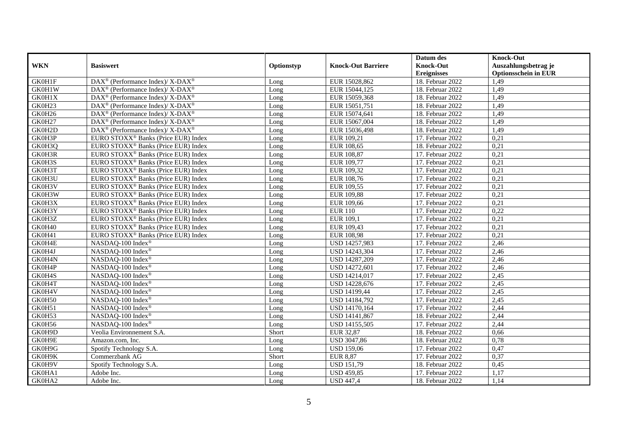|            |                                                                          |            |                           | Datum des          | <b>Knock-Out</b>            |
|------------|--------------------------------------------------------------------------|------------|---------------------------|--------------------|-----------------------------|
| <b>WKN</b> | <b>Basiswert</b>                                                         | Optionstyp | <b>Knock-Out Barriere</b> | <b>Knock-Out</b>   | Auszahlungsbetrag je        |
|            |                                                                          |            |                           | <b>Ereignisses</b> | <b>Optionsschein in EUR</b> |
| GK0H1F     | DAX <sup>®</sup> (Performance Index)/ X-DAX <sup>®</sup>                 | Long       | EUR 15028,862             | 18. Februar 2022   | 1,49                        |
| GK0H1W     | DAX <sup>®</sup> (Performance Index)/X-DAX <sup>®</sup>                  | Long       | EUR 15044,125             | 18. Februar 2022   | 1,49                        |
| GK0H1X     | $\text{DAX}^{\circledast}$ (Performance Index)/X-DAX <sup>®</sup>        | Long       | EUR 15059,368             | 18. Februar 2022   | 1,49                        |
| GK0H23     | $\overline{\text{DAX}^{\otimes}}$ (Performance Index)/X-DAX <sup>®</sup> | Long       | EUR 15051,751             | 18. Februar 2022   | 1,49                        |
| GK0H26     | $DAX^{\circledast}$ (Performance Index)/ X-DAX <sup>®</sup>              | Long       | EUR 15074,641             | 18. Februar 2022   | 1,49                        |
| GK0H27     | $\text{DAX}^{\circledast}$ (Performance Index)/ X-DAX <sup>®</sup>       | Long       | EUR 15067,004             | 18. Februar 2022   | 1,49                        |
| GK0H2D     | $DAX^{\circledast}$ (Performance Index)/ X-DAX <sup>®</sup>              | Long       | EUR 15036,498             | 18. Februar 2022   | 1,49                        |
| GK0H3P     | EURO STOXX <sup>®</sup> Banks (Price EUR) Index                          | Long       | EUR 109,21                | 17. Februar 2022   | 0,21                        |
| GK0H3Q     | EURO STOXX <sup>®</sup> Banks (Price EUR) Index                          | Long       | EUR 108,65                | 18. Februar 2022   | 0,21                        |
| GK0H3R     | EURO STOXX <sup>®</sup> Banks (Price EUR) Index                          | Long       | EUR 108,87                | 17. Februar 2022   | 0,21                        |
| GK0H3S     | EURO STOXX <sup>®</sup> Banks (Price EUR) Index                          | Long       | EUR 109,77                | 17. Februar 2022   | 0,21                        |
| GK0H3T     | EURO STOXX <sup>®</sup> Banks (Price EUR) Index                          | Long       | EUR 109,32                | 17. Februar 2022   | 0,21                        |
| GK0H3U     | EURO STOXX <sup>®</sup> Banks (Price EUR) Index                          | Long       | EUR 108,76                | 17. Februar 2022   | 0,21                        |
| GK0H3V     | EURO STOXX <sup>®</sup> Banks (Price EUR) Index                          | Long       | EUR 109,55                | 17. Februar 2022   | 0,21                        |
| GK0H3W     | EURO STOXX <sup>®</sup> Banks (Price EUR) Index                          | Long       | EUR 109,88                | 17. Februar 2022   | 0,21                        |
| GK0H3X     | EURO STOXX <sup>®</sup> Banks (Price EUR) Index                          | Long       | EUR 109,66                | 17. Februar 2022   | 0,21                        |
| GK0H3Y     | EURO STOXX <sup>®</sup> Banks (Price EUR) Index                          | Long       | <b>EUR 110</b>            | 17. Februar 2022   | 0,22                        |
| GK0H3Z     | EURO STOXX <sup>®</sup> Banks (Price EUR) Index                          | Long       | EUR 109.1                 | 17. Februar 2022   | 0,21                        |
| GK0H40     | EURO STOXX <sup>®</sup> Banks (Price EUR) Index                          | Long       | EUR 109,43                | 17. Februar 2022   | 0,21                        |
| GK0H41     | EURO STOXX <sup>®</sup> Banks (Price EUR) Index                          | Long       | EUR 108,98                | 17. Februar 2022   | 0,21                        |
| GK0H4E     | NASDAQ-100 Index®                                                        | Long       | USD 14257,983             | 17. Februar 2022   | 2,46                        |
| GK0H4J     | NASDAQ-100 Index®                                                        | Long       | USD 14243,304             | 17. Februar 2022   | 2,46                        |
| GK0H4N     | NASDAQ-100 Index®                                                        | Long       | USD 14287,209             | 17. Februar 2022   | 2,46                        |
| GK0H4P     | NASDAQ-100 Index <sup>®</sup>                                            | Long       | USD 14272,601             | 17. Februar 2022   | 2,46                        |
| GK0H4S     | NASDAQ-100 Index®                                                        | Long       | USD 14214,017             | 17. Februar 2022   | 2,45                        |
| GK0H4T     | NASDAQ-100 Index®                                                        | Long       | USD 14228,676             | 17. Februar 2022   | 2,45                        |
| GK0H4V     | NASDAQ-100 Index®                                                        | Long       | USD 14199,44              | 17. Februar 2022   | 2,45                        |
| GK0H50     | NASDAQ-100 Index <sup>®</sup>                                            | Long       | USD 14184,792             | 17. Februar 2022   | 2,45                        |
| GK0H51     | NASDAQ-100 Index®                                                        | Long       | USD 14170,164             | 17. Februar 2022   | 2,44                        |
| GK0H53     | NASDAQ-100 Index®                                                        | Long       | USD 14141,867             | 18. Februar 2022   | 2,44                        |
| GK0H56     | NASDAQ-100 Index®                                                        | Long       | USD 14155,505             | 17. Februar 2022   | 2,44                        |
| GK0H9D     | Veolia Environnement S.A.                                                | Short      | <b>EUR 32,87</b>          | 18. Februar 2022   | 0,66                        |
| GK0H9E     | Amazon.com, Inc.                                                         | Long       | <b>USD 3047,86</b>        | 18. Februar 2022   | 0,78                        |
| GK0H9G     | Spotify Technology S.A.                                                  | Long       | <b>USD 159,06</b>         | 17. Februar 2022   | 0,47                        |
| GK0H9K     | Commerzbank AG                                                           | Short      | <b>EUR 8,87</b>           | 17. Februar 2022   | 0,37                        |
| GK0H9V     | Spotify Technology S.A.                                                  | Long       | <b>USD 151,79</b>         | 18. Februar 2022   | 0,45                        |
| GK0HA1     | Adobe Inc.                                                               | Long       | <b>USD 459,85</b>         | 17. Februar 2022   | 1,17                        |
| GK0HA2     | Adobe Inc.                                                               | Long       | <b>USD 447,4</b>          | 18. Februar 2022   | 1,14                        |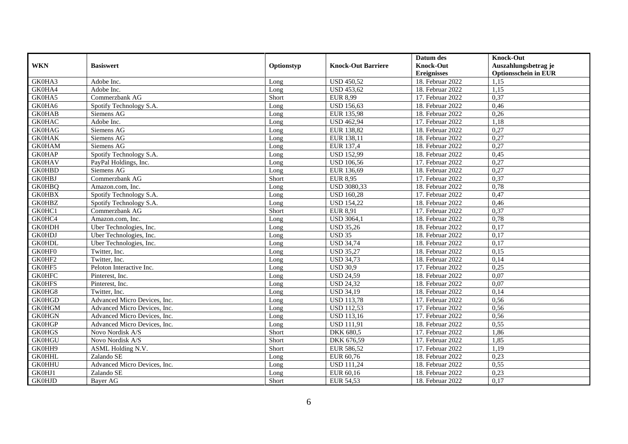|               |                              |            |                           | Datum des          | <b>Knock-Out</b>            |
|---------------|------------------------------|------------|---------------------------|--------------------|-----------------------------|
| <b>WKN</b>    | <b>Basiswert</b>             | Optionstyp | <b>Knock-Out Barriere</b> | <b>Knock-Out</b>   | Auszahlungsbetrag je        |
|               |                              |            |                           | <b>Ereignisses</b> | <b>Optionsschein in EUR</b> |
| GK0HA3        | Adobe Inc.                   | Long       | <b>USD 450,52</b>         | 18. Februar 2022   | 1,15                        |
| GK0HA4        | Adobe Inc.                   | Long       | <b>USD 453,62</b>         | 18. Februar 2022   | 1,15                        |
| GK0HA5        | Commerzbank AG               | Short      | <b>EUR 8,99</b>           | 17. Februar 2022   | 0,37                        |
| GK0HA6        | Spotify Technology S.A.      | Long       | <b>USD 156,63</b>         | 18. Februar 2022   | 0,46                        |
| <b>GK0HAB</b> | Siemens AG                   | Long       | EUR 135,98                | 18. Februar 2022   | 0,26                        |
| <b>GK0HAC</b> | Adobe Inc.                   | Long       | <b>USD 462,94</b>         | 17. Februar 2022   | 1,18                        |
| <b>GK0HAG</b> | Siemens AG                   | Long       | EUR 138,82                | 18. Februar 2022   | 0,27                        |
| <b>GK0HAK</b> | Siemens AG                   | Long       | EUR 138,11                | 18. Februar 2022   | 0,27                        |
| <b>GK0HAM</b> | Siemens AG                   | Long       | EUR 137,4                 | 18. Februar 2022   | 0,27                        |
| <b>GK0HAP</b> | Spotify Technology S.A.      | Long       | <b>USD 152,99</b>         | 18. Februar 2022   | 0,45                        |
| <b>GK0HAV</b> | PayPal Holdings, Inc.        | Long       | <b>USD 106,56</b>         | 17. Februar 2022   | 0,27                        |
| <b>GK0HBD</b> | Siemens AG                   | Long       | EUR 136,69                | 18. Februar 2022   | 0,27                        |
| <b>GK0HBJ</b> | Commerzbank AG               | Short      | <b>EUR 8,95</b>           | 17. Februar 2022   | 0,37                        |
| <b>GK0HBQ</b> | Amazon.com. Inc.             | Long       | <b>USD 3080,33</b>        | 18. Februar 2022   | 0,78                        |
| <b>GK0HBX</b> | Spotify Technology S.A.      | Long       | <b>USD 160,28</b>         | 17. Februar 2022   | 0,47                        |
| <b>GK0HBZ</b> | Spotify Technology S.A.      | Long       | <b>USD 154,22</b>         | 18. Februar 2022   | 0,46                        |
| GK0HC1        | Commerzbank AG               | Short      | <b>EUR 8,91</b>           | 17. Februar 2022   | 0,37                        |
| GK0HC4        | Amazon.com. Inc.             | Long       | <b>USD 3064,1</b>         | 18. Februar 2022   | 0,78                        |
| <b>GK0HDH</b> | Uber Technologies, Inc.      | Long       | <b>USD 35,26</b>          | 18. Februar 2022   | 0,17                        |
| <b>GK0HDJ</b> | Uber Technologies, Inc.      | Long       | <b>USD 35</b>             | 18. Februar 2022   | 0,17                        |
| <b>GK0HDL</b> | Uber Technologies, Inc.      | Long       | <b>USD 34,74</b>          | 18. Februar 2022   | 0,17                        |
| GK0HF0        | Twitter, Inc.                | Long       | <b>USD 35,27</b>          | 18. Februar 2022   | 0,15                        |
| GK0HF2        | Twitter, Inc.                | Long       | <b>USD 34,73</b>          | 18. Februar 2022   | 0,14                        |
| GK0HF5        | Peloton Interactive Inc.     | Long       | <b>USD 30.9</b>           | 17. Februar 2022   | 0,25                        |
| <b>GK0HFC</b> | Pinterest, Inc.              | Long       | <b>USD 24,59</b>          | 18. Februar 2022   | 0,07                        |
| <b>GK0HFS</b> | Pinterest, Inc.              | Long       | <b>USD 24,32</b>          | 18. Februar 2022   | 0,07                        |
| GK0HG8        | Twitter, Inc.                | Long       | <b>USD 34,19</b>          | 18. Februar 2022   | 0,14                        |
| <b>GK0HGD</b> | Advanced Micro Devices, Inc. | Long       | <b>USD 113,78</b>         | 17. Februar 2022   | 0,56                        |
| <b>GK0HGM</b> | Advanced Micro Devices, Inc. | Long       | <b>USD 112,53</b>         | 17. Februar 2022   | 0,56                        |
| <b>GK0HGN</b> | Advanced Micro Devices, Inc. | Long       | <b>USD 113,16</b>         | 17. Februar 2022   | 0,56                        |
| <b>GK0HGP</b> | Advanced Micro Devices, Inc. | Long       | <b>USD 111,91</b>         | 18. Februar 2022   | 0,55                        |
| <b>GK0HGS</b> | Novo Nordisk A/S             | Short      | <b>DKK 680,5</b>          | 17. Februar 2022   | 1,86                        |
| <b>GK0HGU</b> | Novo Nordisk A/S             | Short      | DKK 676,59                | 17. Februar 2022   | 1,85                        |
| GK0HH9        | ASML Holding N.V.            | Short      | EUR 586,52                | 17. Februar 2022   | 1,19                        |
| <b>GK0HHL</b> | Zalando SE                   | Long       | EUR 60,76                 | 18. Februar 2022   | 0,23                        |
| <b>GK0HHU</b> | Advanced Micro Devices, Inc. | Long       | <b>USD 111,24</b>         | 18. Februar 2022   | 0,55                        |
| GK0HJ1        | Zalando SE                   | Long       | EUR 60,16                 | 18. Februar 2022   | 0,23                        |
| <b>GK0HJD</b> | Bayer AG                     | Short      | EUR 54,53                 | 18. Februar 2022   | 0,17                        |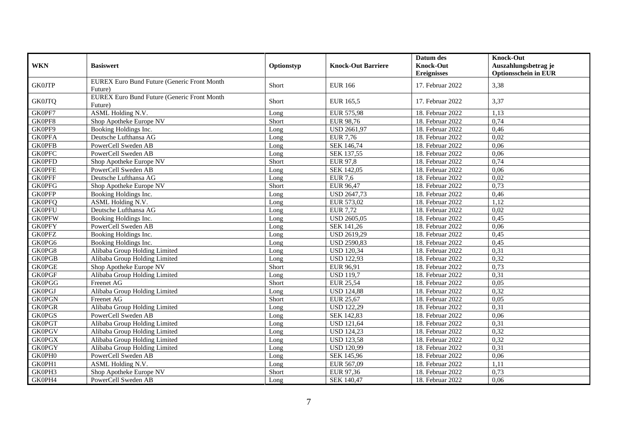|               |                                                               |            |                           | Datum des          | <b>Knock-Out</b>            |
|---------------|---------------------------------------------------------------|------------|---------------------------|--------------------|-----------------------------|
| <b>WKN</b>    | <b>Basiswert</b>                                              | Optionstyp | <b>Knock-Out Barriere</b> | <b>Knock-Out</b>   | Auszahlungsbetrag je        |
|               | EUREX Euro Bund Future (Generic Front Month                   |            |                           | <b>Ereignisses</b> | <b>Optionsschein in EUR</b> |
| <b>GK0JTP</b> | Future)                                                       | Short      | <b>EUR 166</b>            | 17. Februar 2022   | 3,38                        |
| <b>GK0JTQ</b> | <b>EUREX Euro Bund Future (Generic Front Month</b><br>Future) | Short      | EUR 165.5                 | 17. Februar 2022   | 3,37                        |
| GK0PF7        | ASML Holding N.V.                                             | Long       | <b>EUR 575,98</b>         | 18. Februar 2022   | 1,13                        |
| GK0PF8        | Shop Apotheke Europe NV                                       | Short      | EUR 98,76                 | 18. Februar 2022   | 0,74                        |
| GK0PF9        | Booking Holdings Inc.                                         | Long       | <b>USD 2661,97</b>        | 18. Februar 2022   | 0,46                        |
| <b>GK0PFA</b> | Deutsche Lufthansa AG                                         | Long       | <b>EUR 7,76</b>           | 18. Februar 2022   | 0,02                        |
| <b>GK0PFB</b> | PowerCell Sweden AB                                           | Long       | SEK 146,74                | 18. Februar 2022   | 0,06                        |
| <b>GK0PFC</b> | PowerCell Sweden AB                                           | Long       | SEK 137,55                | 18. Februar 2022   | 0,06                        |
| <b>GK0PFD</b> | Shop Apotheke Europe NV                                       | Short      | <b>EUR 97,8</b>           | 18. Februar 2022   | 0,74                        |
| <b>GK0PFE</b> | PowerCell Sweden AB                                           | Long       | SEK 142,05                | 18. Februar 2022   | 0,06                        |
| <b>GK0PFF</b> | Deutsche Lufthansa AG                                         | Long       | <b>EUR 7,6</b>            | 18. Februar 2022   | 0,02                        |
| <b>GK0PFG</b> | Shop Apotheke Europe NV                                       | Short      | <b>EUR 96,47</b>          | 18. Februar 2022   | 0,73                        |
| <b>GK0PFP</b> | Booking Holdings Inc.                                         | Long       | <b>USD 2647,73</b>        | 18. Februar 2022   | 0,46                        |
| <b>GK0PFQ</b> | ASML Holding N.V.                                             | Long       | EUR 573,02                | 18. Februar 2022   | 1,12                        |
| <b>GK0PFU</b> | Deutsche Lufthansa AG                                         | Long       | <b>EUR 7,72</b>           | 18. Februar 2022   | 0,02                        |
| <b>GK0PFW</b> | Booking Holdings Inc.                                         | Long       | <b>USD 2605,05</b>        | 18. Februar 2022   | 0,45                        |
| <b>GK0PFY</b> | PowerCell Sweden AB                                           | Long       | SEK 141,26                | 18. Februar 2022   | 0,06                        |
| <b>GK0PFZ</b> | Booking Holdings Inc.                                         | Long       | <b>USD 2619,29</b>        | 18. Februar 2022   | 0,45                        |
| GK0PG6        | Booking Holdings Inc.                                         | Long       | <b>USD 2590,83</b>        | 18. Februar 2022   | 0,45                        |
| GK0PG8        | Alibaba Group Holding Limited                                 | Long       | <b>USD 120,34</b>         | 18. Februar 2022   | 0,31                        |
| <b>GK0PGB</b> | Alibaba Group Holding Limited                                 | Long       | <b>USD 122,93</b>         | 18. Februar 2022   | 0,32                        |
| <b>GK0PGE</b> | Shop Apotheke Europe NV                                       | Short      | EUR 96,91                 | 18. Februar 2022   | 0,73                        |
| <b>GK0PGF</b> | Alibaba Group Holding Limited                                 | Long       | <b>USD 119,7</b>          | 18. Februar 2022   | 0,31                        |
| <b>GK0PGG</b> | Freenet AG                                                    | Short      | <b>EUR 25,54</b>          | 18. Februar 2022   | 0,05                        |
| <b>GK0PGJ</b> | Alibaba Group Holding Limited                                 | Long       | <b>USD 124,88</b>         | 18. Februar 2022   | 0,32                        |
| <b>GK0PGN</b> | Freenet AG                                                    | Short      | <b>EUR 25,67</b>          | 18. Februar 2022   | 0,05                        |
| <b>GK0PGR</b> | Alibaba Group Holding Limited                                 | Long       | <b>USD 122,29</b>         | 18. Februar 2022   | 0,31                        |
| <b>GK0PGS</b> | PowerCell Sweden AB                                           | Long       | SEK 142,83                | 18. Februar 2022   | 0,06                        |
| <b>GK0PGT</b> | Alibaba Group Holding Limited                                 | Long       | <b>USD 121,64</b>         | 18. Februar 2022   | 0,31                        |
| <b>GK0PGV</b> | Alibaba Group Holding Limited                                 | Long       | <b>USD 124,23</b>         | 18. Februar 2022   | 0,32                        |
| <b>GK0PGX</b> | Alibaba Group Holding Limited                                 | Long       | <b>USD 123,58</b>         | 18. Februar 2022   | 0,32                        |
| <b>GK0PGY</b> | Alibaba Group Holding Limited                                 | Long       | <b>USD 120,99</b>         | 18. Februar 2022   | 0,31                        |
| GK0PH0        | PowerCell Sweden AB                                           | Long       | SEK 145,96                | 18. Februar 2022   | 0,06                        |
| GK0PH1        | <b>ASML Holding N.V.</b>                                      | Long       | EUR 567,09                | 18. Februar 2022   | 1,11                        |
| GK0PH3        | Shop Apotheke Europe NV                                       | Short      | EUR 97,36                 | 18. Februar 2022   | 0,73                        |
| GK0PH4        | PowerCell Sweden AB                                           | Long       | SEK 140,47                | 18. Februar 2022   | 0,06                        |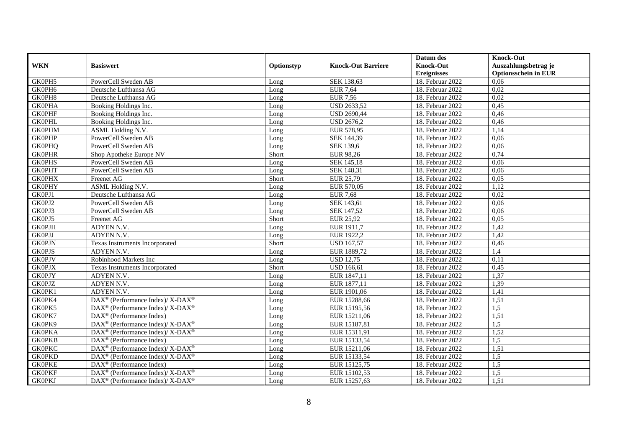|               |                                                          |            |                           | Datum des          | <b>Knock-Out</b>            |
|---------------|----------------------------------------------------------|------------|---------------------------|--------------------|-----------------------------|
| <b>WKN</b>    | <b>Basiswert</b>                                         | Optionstyp | <b>Knock-Out Barriere</b> | <b>Knock-Out</b>   | Auszahlungsbetrag je        |
|               |                                                          |            |                           | <b>Ereignisses</b> | <b>Optionsschein in EUR</b> |
| GK0PH5        | PowerCell Sweden AB                                      | Long       | SEK 138,63                | 18. Februar 2022   | 0,06                        |
| GK0PH6        | Deutsche Lufthansa AG                                    | Long       | <b>EUR 7,64</b>           | 18. Februar 2022   | 0,02                        |
| GK0PH8        | Deutsche Lufthansa AG                                    | Long       | <b>EUR 7,56</b>           | 18. Februar 2022   | 0,02                        |
| <b>GK0PHA</b> | Booking Holdings Inc.                                    | Long       | <b>USD 2633,52</b>        | 18. Februar 2022   | 0,45                        |
| <b>GK0PHF</b> | Booking Holdings Inc.                                    | Long       | <b>USD 2690,44</b>        | 18. Februar 2022   | 0,46                        |
| <b>GK0PHL</b> | <b>Booking Holdings Inc.</b>                             | Long       | <b>USD 2676,2</b>         | 18. Februar 2022   | 0,46                        |
| <b>GK0PHM</b> | ASML Holding N.V.                                        | Long       | EUR 578,95                | 18. Februar 2022   | 1,14                        |
| <b>GK0PHP</b> | PowerCell Sweden AB                                      | Long       | SEK 144,39                | 18. Februar 2022   | 0,06                        |
| <b>GK0PHQ</b> | PowerCell Sweden AB                                      | Long       | SEK 139,6                 | 18. Februar 2022   | 0,06                        |
| <b>GK0PHR</b> | Shop Apotheke Europe NV                                  | Short      | <b>EUR 98,26</b>          | 18. Februar 2022   | 0,74                        |
| <b>GK0PHS</b> | PowerCell Sweden AB                                      | Long       | SEK 145,18                | 18. Februar 2022   | 0,06                        |
| <b>GK0PHT</b> | PowerCell Sweden AB                                      | Long       | SEK 148,31                | 18. Februar 2022   | 0,06                        |
| <b>GK0PHX</b> | Freenet AG                                               | Short      | EUR 25,79                 | 18. Februar 2022   | 0,05                        |
| <b>GK0PHY</b> | ASML Holding N.V.                                        | Long       | EUR 570,05                | 18. Februar 2022   | 1,12                        |
| GK0PJ1        | Deutsche Lufthansa AG                                    | Long       | <b>EUR 7,68</b>           | 18. Februar 2022   | 0,02                        |
| GK0PJ2        | PowerCell Sweden AB                                      | Long       | SEK 143,61                | 18. Februar 2022   | 0.06                        |
| GK0PJ3        | PowerCell Sweden AB                                      | Long       | SEK 147,52                | 18. Februar 2022   | 0,06                        |
| GK0PJ5        | Freenet AG                                               | Short      | <b>EUR 25,92</b>          | 18. Februar 2022   | 0,05                        |
| <b>GK0PJH</b> | ADYEN N.V.                                               | Long       | EUR 1911,7                | 18. Februar 2022   | 1,42                        |
| <b>GK0PJJ</b> | ADYEN N.V.                                               | Long       | EUR 1922,2                | 18. Februar 2022   | 1,42                        |
| <b>GK0PJN</b> | Texas Instruments Incorporated                           | Short      | <b>USD 167,57</b>         | 18. Februar 2022   | 0,46                        |
| <b>GK0PJS</b> | ADYEN N.V.                                               | Long       | EUR 1889,72               | 18. Februar 2022   | 1.4                         |
| <b>GK0PJV</b> | Robinhood Markets Inc                                    | Long       | <b>USD 12,75</b>          | 18. Februar 2022   | 0,11                        |
| <b>GK0PJX</b> | Texas Instruments Incorporated                           | Short      | <b>USD 166,61</b>         | 18. Februar 2022   | 0,45                        |
| <b>GK0PJY</b> | ADYEN N.V.                                               | Long       | EUR 1847,11               | 18. Februar 2022   | 1,37                        |
| <b>GK0PJZ</b> | ADYEN N.V.                                               | Long       | EUR 1877,11               | 18. Februar 2022   | 1,39                        |
| GK0PK1        | ADYEN N.V.                                               | Long       | EUR 1901,06               | 18. Februar 2022   | 1,41                        |
| GK0PK4        | DAX <sup>®</sup> (Performance Index)/ X-DAX <sup>®</sup> | Long       | EUR 15288,66              | 18. Februar 2022   | 1,51                        |
| GK0PK5        | DAX <sup>®</sup> (Performance Index)/X-DAX <sup>®</sup>  | Long       | EUR 15195,56              | 18. Februar 2022   | 1,5                         |
| GK0PK7        | $DAX^{\circledast}$ (Performance Index)                  | Long       | EUR 15211,06              | 18. Februar 2022   | 1,51                        |
| GK0PK9        | DAX <sup>®</sup> (Performance Index)/X-DAX <sup>®</sup>  | Long       | EUR 15187,81              | 18. Februar 2022   | 1,5                         |
| <b>GK0PKA</b> | DAX <sup>®</sup> (Performance Index)/X-DAX <sup>®</sup>  | Long       | EUR 15311,91              | 18. Februar 2022   | 1,52                        |
| <b>GK0PKB</b> | $DAX^{\circledast}$ (Performance Index)                  | Long       | EUR 15133,54              | 18. Februar 2022   | 1,5                         |
| <b>GK0PKC</b> | DAX <sup>®</sup> (Performance Index)/ X-DAX <sup>®</sup> | Long       | EUR 15211,06              | 18. Februar 2022   | 1,51                        |
| <b>GK0PKD</b> | DAX <sup>®</sup> (Performance Index)/ X-DAX <sup>®</sup> | Long       | EUR 15133,54              | 18. Februar 2022   | 1,5                         |
| <b>GK0PKE</b> | $DAX^{\circledast}$ (Performance Index)                  | Long       | EUR 15125,75              | 18. Februar 2022   | 1,5                         |
| <b>GK0PKF</b> | DAX <sup>®</sup> (Performance Index)/X-DAX <sup>®</sup>  | Long       | EUR 15102,53              | 18. Februar 2022   | 1,5                         |
| <b>GK0PKJ</b> | DAX <sup>®</sup> (Performance Index)/ X-DAX <sup>®</sup> | Long       | EUR 15257,63              | 18. Februar 2022   | 1,51                        |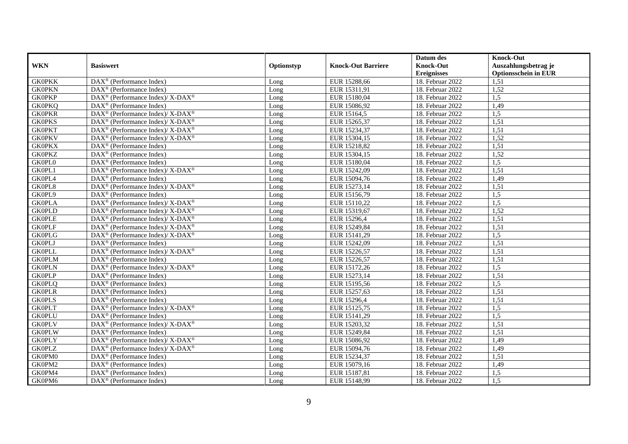|               |                                                                           |            |                           | Datum des          | <b>Knock-Out</b>            |
|---------------|---------------------------------------------------------------------------|------------|---------------------------|--------------------|-----------------------------|
| <b>WKN</b>    | <b>Basiswert</b>                                                          | Optionstyp | <b>Knock-Out Barriere</b> | <b>Knock-Out</b>   | Auszahlungsbetrag je        |
|               |                                                                           |            |                           | <b>Ereignisses</b> | <b>Optionsschein in EUR</b> |
| <b>GK0PKK</b> | $\overline{\text{DAX}}^{\textcircled{}}$ (Performance Index)              | Long       | EUR 15288,66              | 18. Februar 2022   | 1,51                        |
| <b>GK0PKN</b> | $\text{DAX}^{\textcircled{}}$ (Performance Index)                         | Long       | EUR 15311,91              | 18. Februar 2022   | 1,52                        |
| <b>GK0PKP</b> | $\text{DAX}^{\circledast}$ (Performance Index)/ X-DAX <sup>®</sup>        | Long       | EUR 15180,04              | 18. Februar 2022   | 1,5                         |
| <b>GK0PKQ</b> | DAX <sup>®</sup> (Performance Index)                                      | Long       | EUR 15086,92              | 18. Februar 2022   | 1,49                        |
| <b>GK0PKR</b> | DAX <sup>®</sup> (Performance Index)/ X-DAX <sup>®</sup>                  | Long       | EUR 15164,5               | 18. Februar 2022   | 1,5                         |
| <b>GK0PKS</b> | $DAX^{\circledast}$ (Performance Index)/X-DAX <sup>®</sup>                | Long       | EUR 15265,37              | 18. Februar 2022   | 1,51                        |
| <b>GK0PKT</b> | DAX <sup>®</sup> (Performance Index)/X-DAX <sup>®</sup>                   | Long       | EUR 15234,37              | 18. Februar 2022   | 1,51                        |
| <b>GK0PKV</b> | $DAX^{\circledast}$ (Performance Index)/ X-DAX <sup>®</sup>               | Long       | EUR 15304,15              | 18. Februar 2022   | 1,52                        |
| <b>GK0PKX</b> | $DAX^{\circledast}$ (Performance Index)                                   | Long       | EUR 15218,82              | 18. Februar 2022   | 1,51                        |
| <b>GK0PKZ</b> | DAX <sup>®</sup> (Performance Index)                                      | Long       | EUR 15304,15              | 18. Februar 2022   | 1,52                        |
| <b>GK0PL0</b> | DAX <sup>®</sup> (Performance Index)                                      | Long       | EUR 15180,04              | 18. Februar 2022   | 1,5                         |
| GK0PL1        | $\overline{\text{DAX}^{\otimes}}$ (Performance Index)/X-DAX <sup>®</sup>  | Long       | EUR 15242,09              | 18. Februar 2022   | 1,51                        |
| GK0PL4        | $DAX^{\circledast}$ (Performance Index)                                   | Long       | EUR 15094,76              | 18. Februar 2022   | 1,49                        |
| GK0PL8        | $DAX^{\circledcirc}$ (Performance Index)/X-DAX <sup>®</sup>               | Long       | EUR 15273,14              | 18. Februar 2022   | 1,51                        |
| GK0PL9        | DAX <sup>®</sup> (Performance Index)                                      | Long       | EUR 15156,79              | 18. Februar 2022   | 1,5                         |
| <b>GK0PLA</b> | DAX <sup>®</sup> (Performance Index)/X-DAX <sup>®</sup>                   | Long       | EUR 15110,22              | 18. Februar 2022   | 1,5                         |
| <b>GK0PLD</b> | DAX <sup>®</sup> (Performance Index)/ X-DAX <sup>®</sup>                  | Long       | EUR 15319,67              | 18. Februar 2022   | 1,52                        |
| <b>GK0PLE</b> | DAX <sup>®</sup> (Performance Index)/ X-DAX <sup>®</sup>                  | Long       | EUR 15296,4               | 18. Februar 2022   | 1,51                        |
| <b>GK0PLF</b> | $\text{DAX}^{\circledast}$ (Performance Index)/X-DAX <sup>®</sup>         | Long       | EUR 15249,84              | 18. Februar 2022   | 1,51                        |
| <b>GK0PLG</b> | $DAX^{\circledast}$ (Performance Index)/ X-DAX <sup>®</sup>               | Long       | EUR 15141,29              | 18. Februar 2022   | 1,5                         |
| <b>GK0PLJ</b> | DAX <sup>®</sup> (Performance Index)                                      | Long       | EUR 15242,09              | 18. Februar 2022   | 1,51                        |
| <b>GKOPLL</b> | $DAX^{\circledast}$ (Performance Index)/ $\overline{X-DAX^{\circledast}}$ | Long       | EUR 15226,57              | 18. Februar 2022   | 1,51                        |
| <b>GK0PLM</b> | DAX <sup>®</sup> (Performance Index)                                      | Long       | EUR 15226,57              | 18. Februar 2022   | 1,51                        |
| <b>GK0PLN</b> | DAX <sup>®</sup> (Performance Index)/ X-DAX <sup>®</sup>                  | Long       | EUR 15172,26              | 18. Februar 2022   | 1,5                         |
| <b>GK0PLP</b> | $DAX^{\circledR}$ (Performance Index)                                     | Long       | EUR 15273,14              | 18. Februar 2022   | 1,51                        |
| <b>GK0PLQ</b> | DAX <sup>®</sup> (Performance Index)                                      | Long       | EUR 15195,56              | 18. Februar 2022   | 1,5                         |
| <b>GK0PLR</b> | DAX <sup>®</sup> (Performance Index)                                      | Long       | EUR 15257,63              | 18. Februar 2022   | 1,51                        |
| <b>GK0PLS</b> | DAX <sup>®</sup> (Performance Index)                                      | Long       | EUR 15296,4               | 18. Februar 2022   | 1,51                        |
| <b>GK0PLT</b> | DAX <sup>®</sup> (Performance Index)/ X-DAX <sup>®</sup>                  | Long       | EUR 15125,75              | 18. Februar 2022   | 1,5                         |
| <b>GK0PLU</b> | $DAX^{\circledast}$ (Performance Index)                                   | Long       | EUR 15141,29              | 18. Februar 2022   | 1,5                         |
| <b>GK0PLV</b> | DAX <sup>®</sup> (Performance Index)/ X-DAX <sup>®</sup>                  | Long       | EUR 15203,32              | 18. Februar 2022   | 1,51                        |
| <b>GK0PLW</b> | $DAX^{\circledR}$ (Performance Index)                                     | Long       | EUR 15249,84              | 18. Februar 2022   | 1,51                        |
| <b>GK0PLY</b> | DAX <sup>®</sup> (Performance Index)/ X-DAX <sup>®</sup>                  | Long       | EUR 15086,92              | 18. Februar 2022   | 1,49                        |
| <b>GK0PLZ</b> | $\overline{\text{DAX}^{\otimes}}$ (Performance Index)/X-DAX <sup>®</sup>  | Long       | EUR 15094,76              | 18. Februar 2022   | 1,49                        |
| GK0PM0        | DAX <sup>®</sup> (Performance Index)                                      | Long       | EUR 15234,37              | 18. Februar 2022   | 1,51                        |
| GK0PM2        | DAX <sup>®</sup> (Performance Index)                                      | Long       | EUR 15079,16              | 18. Februar 2022   | 1,49                        |
| GK0PM4        | $DAX^{\circledast}$ (Performance Index)                                   | Long       | EUR 15187,81              | 18. Februar 2022   | 1,5                         |
| GK0PM6        | $\overline{\text{DAX}^{\otimes}}$ (Performance Index)                     | Long       | EUR 15148,99              | 18. Februar 2022   | 1,5                         |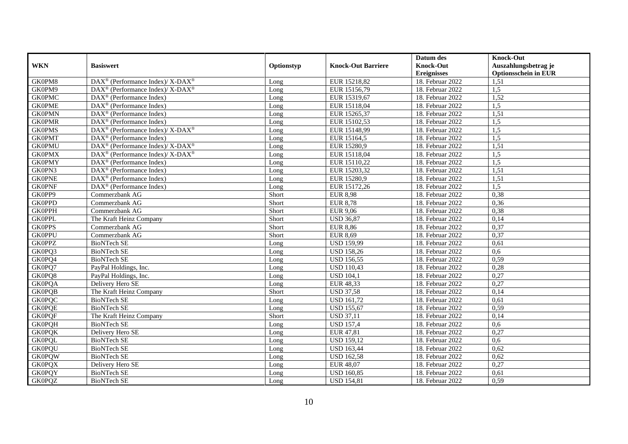|               |                                                            |            |                           | Datum des          | <b>Knock-Out</b>            |
|---------------|------------------------------------------------------------|------------|---------------------------|--------------------|-----------------------------|
| <b>WKN</b>    | <b>Basiswert</b>                                           | Optionstyp | <b>Knock-Out Barriere</b> | <b>Knock-Out</b>   | Auszahlungsbetrag je        |
|               |                                                            |            |                           | <b>Ereignisses</b> | <b>Optionsschein in EUR</b> |
| GK0PM8        | DAX <sup>®</sup> (Performance Index)/ X-DAX <sup>®</sup>   | Long       | EUR 15218,82              | 18. Februar 2022   | 1,51                        |
| GK0PM9        | DAX <sup>®</sup> (Performance Index)/ X-DAX <sup>®</sup>   | Long       | EUR 15156,79              | 18. Februar 2022   | 1,5                         |
| <b>GK0PMC</b> | $DAX^{\circledcirc}$ (Performance Index)                   | Long       | EUR 15319,67              | 18. Februar 2022   | 1,52                        |
| <b>GK0PME</b> | DAX <sup>®</sup> (Performance Index)                       | Long       | EUR 15118,04              | 18. Februar 2022   | 1,5                         |
| <b>GK0PMN</b> | DAX <sup>®</sup> (Performance Index)                       | Long       | EUR 15265,37              | 18. Februar 2022   | 1,51                        |
| <b>GK0PMR</b> | DAX <sup>®</sup> (Performance Index)                       | Long       | EUR 15102,53              | 18. Februar 2022   | 1,5                         |
| <b>GK0PMS</b> | $DAX^{\circledast}$ (Performance Index)/X-DAX <sup>®</sup> | Long       | EUR 15148,99              | 18. Februar 2022   | 1,5                         |
| <b>GK0PMT</b> | $DAX^{\circledR}$ (Performance Index)                      | Long       | EUR 15164,5               | 18. Februar 2022   | 1,5                         |
| <b>GK0PMU</b> | DAX <sup>®</sup> (Performance Index)/ X-DAX <sup>®</sup>   | Long       | EUR 15280,9               | 18. Februar 2022   | 1,51                        |
| <b>GK0PMX</b> | DAX <sup>®</sup> (Performance Index)/X-DAX <sup>®</sup>    | Long       | EUR 15118,04              | 18. Februar 2022   | 1,5                         |
| <b>GK0PMY</b> | $DAX^{\circledR}$ (Performance Index)                      | Long       | EUR 15110,22              | 18. Februar 2022   | 1,5                         |
| GK0PN3        | $\overline{\text{DAX}^{\otimes}}$ (Performance Index)      | Long       | EUR 15203,32              | 18. Februar 2022   | 1,51                        |
| <b>GK0PNE</b> | $DAX^{\circledast}$ (Performance Index)                    | Long       | EUR 15280,9               | 18. Februar 2022   | 1,51                        |
| <b>GK0PNF</b> | DAX <sup>®</sup> (Performance Index)                       | Long       | EUR 15172,26              | 18. Februar 2022   | 1,5                         |
| GK0PP9        | Commerzbank AG                                             | Short      | <b>EUR 8,98</b>           | 18. Februar 2022   | 0,38                        |
| <b>GK0PPD</b> | Commerzbank AG                                             | Short      | <b>EUR 8,78</b>           | 18. Februar 2022   | 0,36                        |
| <b>GK0PPH</b> | Commerzbank AG                                             | Short      | <b>EUR 9,06</b>           | 18. Februar 2022   | 0,38                        |
| <b>GK0PPL</b> | The Kraft Heinz Company                                    | Short      | <b>USD 36,87</b>          | 18. Februar 2022   | 0,14                        |
| <b>GK0PPS</b> | Commerzbank AG                                             | Short      | <b>EUR 8,86</b>           | 18. Februar 2022   | 0,37                        |
| <b>GK0PPU</b> | Commerzbank AG                                             | Short      | <b>EUR 8,69</b>           | 18. Februar 2022   | 0,37                        |
| <b>GK0PPZ</b> | <b>BioNTech SE</b>                                         | Long       | <b>USD 159,99</b>         | 18. Februar 2022   | 0,61                        |
| GK0PQ3        | <b>BioNTech SE</b>                                         | Long       | <b>USD 158,26</b>         | 18. Februar 2022   | 0.6                         |
| GK0PQ4        | <b>BioNTech SE</b>                                         | Long       | <b>USD 156,55</b>         | 18. Februar 2022   | 0,59                        |
| GK0PQ7        | PayPal Holdings, Inc.                                      | Long       | <b>USD 110,43</b>         | 18. Februar 2022   | 0,28                        |
| GK0PQ8        | PayPal Holdings, Inc.                                      | Long       | <b>USD 104,1</b>          | 18. Februar 2022   | 0,27                        |
| <b>GK0PQA</b> | Delivery Hero SE                                           | Long       | <b>EUR 48,33</b>          | 18. Februar 2022   | 0,27                        |
| <b>GK0PQB</b> | The Kraft Heinz Company                                    | Short      | <b>USD 37,58</b>          | 18. Februar 2022   | 0,14                        |
| <b>GK0PQC</b> | <b>BioNTech SE</b>                                         | Long       | <b>USD 161,72</b>         | 18. Februar 2022   | 0,61                        |
| <b>GK0PQE</b> | <b>BioNTech SE</b>                                         | Long       | <b>USD 155,67</b>         | $18.$ Februar 2022 | 0,59                        |
| <b>GK0PQF</b> | The Kraft Heinz Company                                    | Short      | <b>USD 37,11</b>          | 18. Februar 2022   | 0,14                        |
| <b>GK0PQH</b> | <b>BioNTech SE</b>                                         | Long       | <b>USD 157,4</b>          | 18. Februar 2022   | 0,6                         |
| <b>GK0PQK</b> | Delivery Hero SE                                           | Long       | EUR 47,81                 | 18. Februar 2022   | 0,27                        |
| <b>GK0PQL</b> | <b>BioNTech SE</b>                                         | Long       | <b>USD 159,12</b>         | 18. Februar 2022   | 0.6                         |
| <b>GK0PQU</b> | <b>BioNTech SE</b>                                         | Long       | <b>USD 163,44</b>         | 18. Februar 2022   | 0,62                        |
| <b>GK0PQW</b> | <b>BioNTech SE</b>                                         | Long       | <b>USD 162,58</b>         | 18. Februar 2022   | 0,62                        |
| <b>GK0PQX</b> | Delivery Hero SE                                           | Long       | <b>EUR 48,07</b>          | 18. Februar 2022   | 0,27                        |
| <b>GK0PQY</b> | <b>BioNTech SE</b>                                         | Long       | <b>USD 160,85</b>         | 18. Februar 2022   | 0,61                        |
| <b>GK0PQZ</b> | <b>BioNTech SE</b>                                         | Long       | <b>USD 154,81</b>         | 18. Februar 2022   | 0,59                        |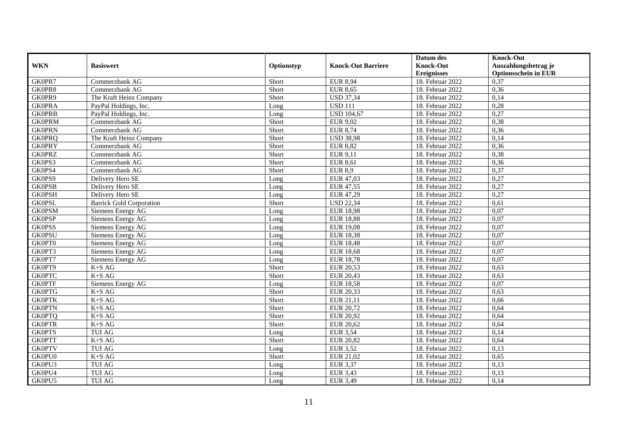|               |                                 |            |                           | Datum des          | <b>Knock-Out</b>            |
|---------------|---------------------------------|------------|---------------------------|--------------------|-----------------------------|
| <b>WKN</b>    | <b>Basiswert</b>                | Optionstyp | <b>Knock-Out Barriere</b> | <b>Knock-Out</b>   | Auszahlungsbetrag je        |
|               |                                 |            |                           | <b>Ereignisses</b> | <b>Optionsschein in EUR</b> |
| GK0PR7        | Commerzbank AG                  | Short      | <b>EUR 8,94</b>           | 18. Februar 2022   | 0,37                        |
| GK0PR8        | Commerzbank AG                  | Short      | <b>EUR 8,65</b>           | 18. Februar 2022   | 0,36                        |
| GK0PR9        | The Kraft Heinz Company         | Short      | <b>USD 37,34</b>          | 18. Februar 2022   | 0,14                        |
| <b>GK0PRA</b> | PayPal Holdings, Inc.           | Long       | <b>USD 111</b>            | 18. Februar 2022   | 0,28                        |
| <b>GK0PRB</b> | PayPal Holdings, Inc.           | Long       | <b>USD 104,67</b>         | 18. Februar 2022   | 0,27                        |
| <b>GK0PRM</b> | Commerzbank AG                  | Short      | EUR 9,02                  | 18. Februar 2022   | 0,38                        |
| <b>GK0PRN</b> | Commerzbank AG                  | Short      | <b>EUR 8,74</b>           | 18. Februar 2022   | 0,36                        |
| <b>GK0PRQ</b> | The Kraft Heinz Company         | Short      | <b>USD 38,98</b>          | 18. Februar 2022   | 0,14                        |
| <b>GK0PRY</b> | Commerzbank AG                  | Short      | <b>EUR 8,82</b>           | 18. Februar 2022   | 0,36                        |
| <b>GK0PRZ</b> | Commerzbank AG                  | Short      | EUR 9,11                  | 18. Februar 2022   | 0,38                        |
| GK0PS3        | Commerzbank AG                  | Short      | <b>EUR 8,61</b>           | 18. Februar 2022   | 0,36                        |
| GK0PS4        | Commerzbank AG                  | Short      | <b>EUR 8,9</b>            | 18. Februar 2022   | 0,37                        |
| GK0PS9        | Delivery Hero SE                | Long       | EUR 47,03                 | 18. Februar 2022   | 0,27                        |
| <b>GK0PSB</b> | Delivery Hero SE                | Long       | EUR 47,55                 | 18. Februar 2022   | 0,27                        |
| <b>GK0PSH</b> | Delivery Hero SE                | Long       | EUR 47,29                 | 18. Februar 2022   | 0,27                        |
| <b>GK0PSL</b> | <b>Barrick Gold Corporation</b> | Short      | <b>USD 22,34</b>          | 18. Februar 2022   | 0,61                        |
| <b>GK0PSM</b> | Siemens Energy AG               | Long       | <b>EUR 18,98</b>          | 18. Februar 2022   | 0,07                        |
| <b>GK0PSP</b> | Siemens Energy AG               | Long       | <b>EUR 18,88</b>          | 18. Februar 2022   | 0,07                        |
| <b>GK0PSS</b> | Siemens Energy AG               | Long       | <b>EUR 19,08</b>          | 18. Februar 2022   | 0,07                        |
| <b>GK0PSU</b> | Siemens Energy AG               | Long       | <b>EUR 18,38</b>          | 18. Februar 2022   | 0,07                        |
| GK0PT0        | Siemens Energy AG               | Long       | <b>EUR 18,48</b>          | 18. Februar 2022   | 0,07                        |
| GK0PT3        | Siemens Energy AG               | Long       | <b>EUR 18,68</b>          | 18. Februar 2022   | 0,07                        |
| GK0PT7        | Siemens Energy AG               | Long       | <b>EUR 18,78</b>          | 18. Februar 2022   | 0,07                        |
| GK0PT9        | $K+SAG$                         | Short      | <b>EUR 20,53</b>          | 18. Februar 2022   | 0.63                        |
| <b>GK0PTC</b> | $K+SAG$                         | Short      | <b>EUR 20,43</b>          | 18. Februar 2022   | 0,63                        |
| <b>GK0PTF</b> | Siemens Energy AG               | Long       | <b>EUR 18,58</b>          | 18. Februar 2022   | 0,07                        |
| <b>GK0PTG</b> | $K+SAG$                         | Short      | EUR 20,33                 | 18. Februar 2022   | 0,63                        |
| <b>GK0PTK</b> | $K+SAG$                         | Short      | EUR 21,11                 | 18. Februar 2022   | 0,66                        |
| <b>GK0PTN</b> | $K+SAG$                         | Short      | EUR 20,72                 | $18.$ Februar 2022 | 0,64                        |
| <b>GK0PTQ</b> | $K+SAG$                         | Short      | <b>EUR 20,92</b>          | 18. Februar 2022   | 0,64                        |
| <b>GK0PTR</b> | $K+SAG$                         | Short      | <b>EUR 20,62</b>          | 18. Februar 2022   | 0,64                        |
| <b>GK0PTS</b> | <b>TUI AG</b>                   | Long       | <b>EUR 3,54</b>           | 18. Februar 2022   | 0,14                        |
| <b>GK0PTT</b> | $K+SAG$                         | Short      | <b>EUR 20,82</b>          | 18. Februar 2022   | 0,64                        |
| <b>GK0PTV</b> | <b>TUI AG</b>                   | Long       | <b>EUR 3,52</b>           | 18. Februar 2022   | 0,13                        |
| GK0PU0        | $K+SAG$                         | Short      | EUR 21,02                 | 18. Februar 2022   | 0,65                        |
| GK0PU3        | <b>TUI AG</b>                   | Long       | <b>EUR 3,37</b>           | 18. Februar 2022   | 0,13                        |
| GK0PU4        | <b>TUI AG</b>                   | Long       | <b>EUR 3,43</b>           | 18. Februar 2022   | 0,13                        |
| GK0PU5        | <b>TUI AG</b>                   | Long       | <b>EUR 3,49</b>           | 18. Februar 2022   | 0,14                        |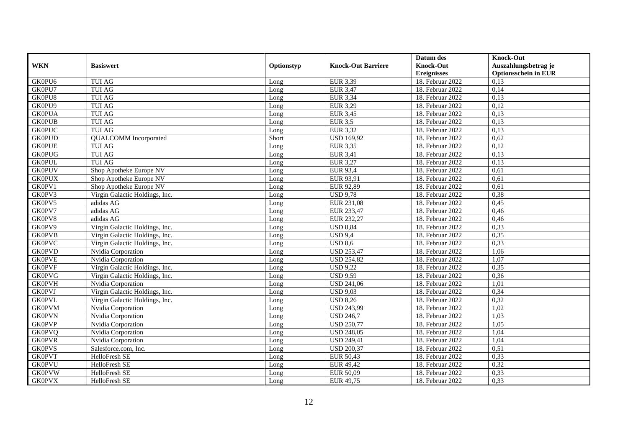|               |                                |            |                           | Datum des          | <b>Knock-Out</b>            |
|---------------|--------------------------------|------------|---------------------------|--------------------|-----------------------------|
| <b>WKN</b>    | <b>Basiswert</b>               | Optionstyp | <b>Knock-Out Barriere</b> | <b>Knock-Out</b>   | Auszahlungsbetrag je        |
|               |                                |            |                           | <b>Ereignisses</b> | <b>Optionsschein in EUR</b> |
| GK0PU6        | <b>TUI AG</b>                  | Long       | EUR 3,39                  | 18. Februar 2022   | 0,13                        |
| GK0PU7        | <b>TUI AG</b>                  | Long       | <b>EUR 3,47</b>           | 18. Februar 2022   | 0,14                        |
| GK0PU8        | <b>TUI AG</b>                  | Long       | <b>EUR 3,34</b>           | 18. Februar 2022   | 0,13                        |
| GK0PU9        | <b>TUI AG</b>                  | Long       | <b>EUR 3,29</b>           | 18. Februar 2022   | 0,12                        |
| <b>GK0PUA</b> | <b>TUI AG</b>                  | Long       | <b>EUR 3,45</b>           | 18. Februar 2022   | 0,13                        |
| <b>GK0PUB</b> | <b>TUI AG</b>                  | Long       | <b>EUR 3,5</b>            | 18. Februar 2022   | 0,13                        |
| <b>GK0PUC</b> | <b>TUI AG</b>                  | Long       | <b>EUR 3,32</b>           | $18.$ Februar 2022 | 0,13                        |
| <b>GK0PUD</b> | <b>QUALCOMM</b> Incorporated   | Short      | <b>USD 169,92</b>         | 18. Februar 2022   | 0,62                        |
| <b>GK0PUE</b> | <b>TUI AG</b>                  | Long       | <b>EUR 3,35</b>           | 18. Februar 2022   | 0,12                        |
| <b>GK0PUG</b> | <b>TUI AG</b>                  | Long       | <b>EUR 3,41</b>           | 18. Februar 2022   | 0,13                        |
| <b>GK0PUL</b> | <b>TUI AG</b>                  | Long       | <b>EUR 3,27</b>           | 18. Februar 2022   | 0,13                        |
| <b>GK0PUV</b> | Shop Apotheke Europe NV        | Long       | <b>EUR 93,4</b>           | 18. Februar 2022   | 0,61                        |
| <b>GK0PUX</b> | Shop Apotheke Europe NV        | Long       | EUR 93,91                 | 18. Februar 2022   | 0,61                        |
| GK0PV1        | Shop Apotheke Europe NV        | Long       | EUR 92,89                 | 18. Februar 2022   | 0,61                        |
| GK0PV3        | Virgin Galactic Holdings, Inc. | Long       | <b>USD 9,78</b>           | 18. Februar 2022   | 0,38                        |
| GK0PV5        | adidas AG                      | Long       | EUR 231,08                | 18. Februar 2022   | 0,45                        |
| GK0PV7        | adidas AG                      | Long       | EUR 233,47                | 18. Februar 2022   | 0,46                        |
| GK0PV8        | adidas AG                      | Long       | EUR 232.27                | 18. Februar 2022   | 0,46                        |
| GK0PV9        | Virgin Galactic Holdings, Inc. | Long       | <b>USD 8,84</b>           | 18. Februar 2022   | 0,33                        |
| <b>GK0PVB</b> | Virgin Galactic Holdings, Inc. | Long       | <b>USD 9,4</b>            | 18. Februar 2022   | 0,35                        |
| <b>GK0PVC</b> | Virgin Galactic Holdings, Inc. | Long       | <b>USD 8,6</b>            | 18. Februar 2022   | 0,33                        |
| <b>GK0PVD</b> | Nvidia Corporation             | Long       | <b>USD 253,47</b>         | 18. Februar 2022   | 1,06                        |
| <b>GK0PVE</b> | Nvidia Corporation             | Long       | <b>USD 254,82</b>         | 18. Februar 2022   | 1,07                        |
| <b>GK0PVF</b> | Virgin Galactic Holdings, Inc. | Long       | <b>USD 9,22</b>           | 18. Februar 2022   | 0,35                        |
| <b>GK0PVG</b> | Virgin Galactic Holdings, Inc. | Long       | <b>USD 9,59</b>           | 18. Februar 2022   | 0,36                        |
| <b>GK0PVH</b> | Nvidia Corporation             | Long       | <b>USD 241,06</b>         | 18. Februar 2022   | 1,01                        |
| <b>GK0PVJ</b> | Virgin Galactic Holdings, Inc. | Long       | <b>USD 9,03</b>           | 18. Februar 2022   | 0,34                        |
| <b>GK0PVL</b> | Virgin Galactic Holdings, Inc. | Long       | <b>USD 8,26</b>           | 18. Februar 2022   | 0,32                        |
| <b>GK0PVM</b> | Nvidia Corporation             | Long       | <b>USD 243,99</b>         | 18. Februar 2022   | 1,02                        |
| <b>GK0PVN</b> | Nvidia Corporation             | Long       | <b>USD 246,7</b>          | 18. Februar 2022   | 1,03                        |
| <b>GK0PVP</b> | Nvidia Corporation             | Long       | <b>USD 250,77</b>         | 18. Februar 2022   | 1,05                        |
| <b>GK0PVQ</b> | Nvidia Corporation             | Long       | <b>USD 248,05</b>         | 18. Februar 2022   | 1,04                        |
| <b>GK0PVR</b> | Nvidia Corporation             | Long       | <b>USD 249,41</b>         | 18. Februar 2022   | 1,04                        |
| <b>GK0PVS</b> | Salesforce.com, Inc.           | Long       | <b>USD 200,37</b>         | 18. Februar 2022   | 0,51                        |
| <b>GK0PVT</b> | HelloFresh SE                  | Long       | <b>EUR 50,43</b>          | 18. Februar 2022   | 0,33                        |
| <b>GK0PVU</b> | HelloFresh SE                  | Long       | <b>EUR 49,42</b>          | 18. Februar 2022   | 0,32                        |
| <b>GK0PVW</b> | HelloFresh SE                  | Long       | <b>EUR 50,09</b>          | 18. Februar 2022   | 0,33                        |
| <b>GK0PVX</b> | HelloFresh SE                  | Long       | EUR 49,75                 | 18. Februar 2022   | 0,33                        |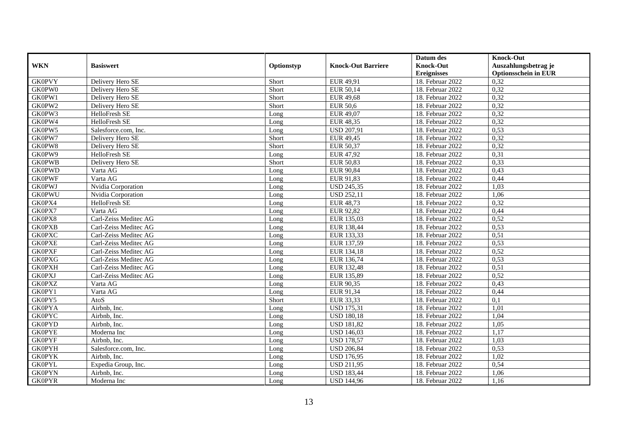|               |                       |            |                           | Datum des          | <b>Knock-Out</b>            |
|---------------|-----------------------|------------|---------------------------|--------------------|-----------------------------|
| <b>WKN</b>    | <b>Basiswert</b>      | Optionstyp | <b>Knock-Out Barriere</b> | <b>Knock-Out</b>   | Auszahlungsbetrag je        |
|               |                       |            |                           | <b>Ereignisses</b> | <b>Optionsschein in EUR</b> |
| <b>GK0PVY</b> | Delivery Hero SE      | Short      | EUR 49,91                 | 18. Februar 2022   | 0,32                        |
| GK0PW0        | Delivery Hero SE      | Short      | EUR 50,14                 | 18. Februar 2022   | 0,32                        |
| GK0PW1        | Delivery Hero SE      | Short      | <b>EUR 49,68</b>          | 18. Februar 2022   | 0,32                        |
| GK0PW2        | Delivery Hero SE      | Short      | <b>EUR 50,6</b>           | 18. Februar 2022   | 0,32                        |
| GK0PW3        | HelloFresh SE         | Long       | EUR 49,07                 | 18. Februar 2022   | 0,32                        |
| GK0PW4        | HelloFresh SE         | Long       | <b>EUR 48,35</b>          | 18. Februar 2022   | 0,32                        |
| GK0PW5        | Salesforce.com, Inc.  | Long       | <b>USD 207,91</b>         | 18. Februar 2022   | 0,53                        |
| GK0PW7        | Delivery Hero SE      | Short      | EUR 49,45                 | 18. Februar 2022   | 0,32                        |
| GK0PW8        | Delivery Hero SE      | Short      | <b>EUR 50,37</b>          | 18. Februar 2022   | 0,32                        |
| GK0PW9        | HelloFresh SE         | Long       | <b>EUR 47,92</b>          | 18. Februar 2022   | 0,31                        |
| <b>GK0PWB</b> | Delivery Hero SE      | Short      | <b>EUR 50,83</b>          | 18. Februar 2022   | 0,33                        |
| <b>GK0PWD</b> | Varta AG              | Long       | <b>EUR 90,84</b>          | 18. Februar 2022   | 0,43                        |
| <b>GK0PWF</b> | Varta AG              | Long       | EUR 91,83                 | 18. Februar 2022   | 0,44                        |
| <b>GK0PWJ</b> | Nvidia Corporation    | Long       | <b>USD 245,35</b>         | 18. Februar 2022   | 1,03                        |
| <b>GK0PWU</b> | Nvidia Corporation    | Long       | <b>USD 252,11</b>         | 18. Februar 2022   | 1,06                        |
| GK0PX4        | HelloFresh SE         | Long       | <b>EUR 48,73</b>          | 18. Februar 2022   | 0,32                        |
| GK0PX7        | Varta AG              | Long       | <b>EUR 92,82</b>          | 18. Februar 2022   | 0,44                        |
| GK0PX8        | Carl-Zeiss Meditec AG | Long       | EUR 135,03                | 18. Februar 2022   | 0,52                        |
| <b>GK0PXB</b> | Carl-Zeiss Meditec AG | Long       | EUR 138,44                | 18. Februar 2022   | 0,53                        |
| <b>GK0PXC</b> | Carl-Zeiss Meditec AG | Long       | EUR 133,33                | 18. Februar 2022   | 0,51                        |
| <b>GK0PXE</b> | Carl-Zeiss Meditec AG | Long       | EUR 137,59                | 18. Februar 2022   | 0,53                        |
| <b>GK0PXF</b> | Carl-Zeiss Meditec AG | Long       | EUR 134,18                | 18. Februar 2022   | 0,52                        |
| <b>GK0PXG</b> | Carl-Zeiss Meditec AG | Long       | EUR 136,74                | 18. Februar 2022   | 0,53                        |
| <b>GK0PXH</b> | Carl-Zeiss Meditec AG | Long       | EUR 132,48                | 18. Februar 2022   | 0,51                        |
| <b>GK0PXJ</b> | Carl-Zeiss Meditec AG | Long       | EUR 135,89                | 18. Februar 2022   | 0,52                        |
| <b>GK0PXZ</b> | Varta AG              | Long       | EUR 90,35                 | 18. Februar 2022   | 0,43                        |
| GK0PY1        | Varta AG              | Long       | EUR 91,34                 | 18. Februar 2022   | 0,44                        |
| GK0PY5        | AtoS                  | Short      | EUR 33,33                 | 18. Februar 2022   | 0,1                         |
| <b>GK0PYA</b> | Airbnb, Inc.          | Long       | <b>USD 175,31</b>         | 18. Februar 2022   | 1,01                        |
| <b>GK0PYC</b> | Airbnb, Inc.          | Long       | <b>USD 180,18</b>         | 18. Februar 2022   | 1,04                        |
| <b>GK0PYD</b> | Airbnb, Inc.          | Long       | <b>USD 181,82</b>         | 18. Februar 2022   | 1,05                        |
| <b>GK0PYE</b> | Moderna Inc           | Long       | <b>USD 146,03</b>         | 18. Februar 2022   | 1,17                        |
| <b>GK0PYF</b> | Airbnb. Inc.          | Long       | <b>USD 178,57</b>         | 18. Februar 2022   | 1,03                        |
| <b>GK0PYH</b> | Salesforce.com, Inc.  | Long       | <b>USD 206,84</b>         | 18. Februar 2022   | 0,53                        |
| <b>GK0PYK</b> | Airbnb, Inc.          | Long       | <b>USD 176,95</b>         | 18. Februar 2022   | 1,02                        |
| <b>GK0PYL</b> | Expedia Group, Inc.   | Long       | <b>USD 211,95</b>         | 18. Februar 2022   | 0,54                        |
| <b>GK0PYN</b> | Airbnb, Inc.          | Long       | <b>USD 183,44</b>         | 18. Februar 2022   | 1,06                        |
| <b>GK0PYR</b> | Moderna Inc           | Long       | <b>USD 144,96</b>         | 18. Februar 2022   | 1,16                        |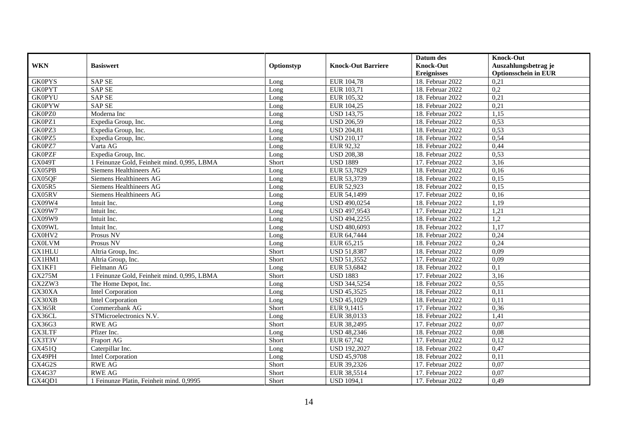|               |                                             |            |                           | Datum des          | <b>Knock-Out</b>            |
|---------------|---------------------------------------------|------------|---------------------------|--------------------|-----------------------------|
| <b>WKN</b>    | <b>Basiswert</b>                            | Optionstyp | <b>Knock-Out Barriere</b> | <b>Knock-Out</b>   | Auszahlungsbetrag je        |
|               |                                             |            |                           | <b>Ereignisses</b> | <b>Optionsschein in EUR</b> |
| <b>GK0PYS</b> | <b>SAPSE</b>                                | Long       | EUR 104,78                | 18. Februar 2022   | 0,21                        |
| <b>GK0PYT</b> | <b>SAP SE</b>                               | Long       | EUR 103,71                | 18. Februar 2022   | 0,2                         |
| <b>GK0PYU</b> | <b>SAP SE</b>                               | Long       | EUR 105,32                | 18. Februar 2022   | 0,21                        |
| <b>GK0PYW</b> | <b>SAP SE</b>                               | Long       | EUR 104,25                | 18. Februar 2022   | 0,21                        |
| GK0PZ0        | Moderna Inc                                 | Long       | <b>USD 143,75</b>         | 18. Februar 2022   | 1,15                        |
| GK0PZ1        | Expedia Group, Inc.                         | Long       | <b>USD 206,59</b>         | 18. Februar 2022   | 0,53                        |
| GK0PZ3        | Expedia Group, Inc.                         | Long       | <b>USD 204,81</b>         | 18. Februar 2022   | 0,53                        |
| GK0PZ5        | Expedia Group, Inc.                         | Long       | <b>USD 210,17</b>         | 18. Februar 2022   | 0,54                        |
| GK0PZ7        | Varta AG                                    | Long       | EUR 92,32                 | 18. Februar 2022   | 0,44                        |
| <b>GK0PZF</b> | Expedia Group, Inc.                         | Long       | <b>USD 208,38</b>         | 18. Februar 2022   | 0,53                        |
| <b>GX049T</b> | 1 Feinunze Gold, Feinheit mind. 0,995, LBMA | Short      | <b>USD 1889</b>           | 17. Februar 2022   | 3,16                        |
| GX05PB        | Siemens Healthineers AG                     | Long       | EUR 53,7829               | 18. Februar 2022   | 0,16                        |
| GX05QF        | Siemens Healthineers AG                     | Long       | EUR 53,3739               | 18. Februar 2022   | 0,15                        |
| <b>GX05R5</b> | Siemens Healthineers AG                     | Long       | EUR 52,923                | 18. Februar 2022   | 0,15                        |
| GX05RV        | Siemens Healthineers AG                     | Long       | EUR 54,1499               | 17. Februar 2022   | 0,16                        |
| GX09W4        | Intuit Inc.                                 | Long       | USD 490,0254              | 18. Februar 2022   | 1,19                        |
| GX09W7        | Intuit Inc.                                 | Long       | USD 497,9543              | 17. Februar 2022   | 1,21                        |
| GX09W9        | Intuit Inc.                                 | Long       | USD 494,2255              | 18. Februar 2022   | 1,2                         |
| GX09WL        | Intuit Inc.                                 | Long       | USD 480,6093              | 18. Februar 2022   | 1,17                        |
| GX0HV2        | Prosus NV                                   | Long       | EUR 64,7444               | 18. Februar 2022   | 0,24                        |
| <b>GX0LVM</b> | Prosus NV                                   | Long       | EUR 65,215                | 18. Februar 2022   | 0,24                        |
| <b>GX1HLU</b> | Altria Group, Inc.                          | Short      | <b>USD 51,8387</b>        | 18. Februar 2022   | 0,09                        |
| GX1HM1        | Altria Group, Inc.                          | Short      | USD 51,3552               | 17. Februar 2022   | 0,09                        |
| GX1KF1        | Fielmann AG                                 | Long       | EUR 53,6842               | 18. Februar 2022   | 0,1                         |
| <b>GX275M</b> | 1 Feinunze Gold, Feinheit mind. 0,995, LBMA | Short      | <b>USD 1883</b>           | 17. Februar 2022   | 3,16                        |
| GX2ZW3        | The Home Depot, Inc.                        | Long       | USD 344,5254              | 18. Februar 2022   | 0,55                        |
| GX30XA        | <b>Intel Corporation</b>                    | Long       | <b>USD 45,3525</b>        | 18. Februar 2022   | 0,11                        |
| GX30XB        | <b>Intel Corporation</b>                    | Long       | <b>USD 45,1029</b>        | 18. Februar 2022   | 0,11                        |
| <b>GX365R</b> | Commerzbank AG                              | Short      | EUR 9,1415                | 17. Februar 2022   | 0,36                        |
| GX36CL        | STMicroelectronics N.V.                     | Long       | EUR 38,0133               | 18. Februar 2022   | 1,41                        |
| GX36G3        | <b>RWE AG</b>                               | Short      | EUR 38,2495               | 17. Februar 2022   | 0,07                        |
| GX3LTF        | Pfizer Inc.                                 | Long       | <b>USD 48,2346</b>        | 18. Februar 2022   | 0,08                        |
| GX3T3V        | <b>Fraport AG</b>                           | Short      | EUR 67,742                | 17. Februar 2022   | 0,12                        |
| GX451Q        | Caterpillar Inc.                            | Long       | <b>USD 192,2027</b>       | 18. Februar 2022   | 0,47                        |
| GX49PH        | <b>Intel Corporation</b>                    | Long       | <b>USD 45,9708</b>        | 18. Februar 2022   | 0,11                        |
| GX4G2S        | <b>RWE AG</b>                               | Short      | EUR 39,2326               | 17. Februar 2022   | 0,07                        |
| GX4G37        | <b>RWE AG</b>                               | Short      | EUR 38,5514               | 17. Februar 2022   | 0,07                        |
| GX4QD1        | 1 Feinunze Platin, Feinheit mind. 0,9995    | Short      | <b>USD 1094,1</b>         | 17. Februar 2022   | 0,49                        |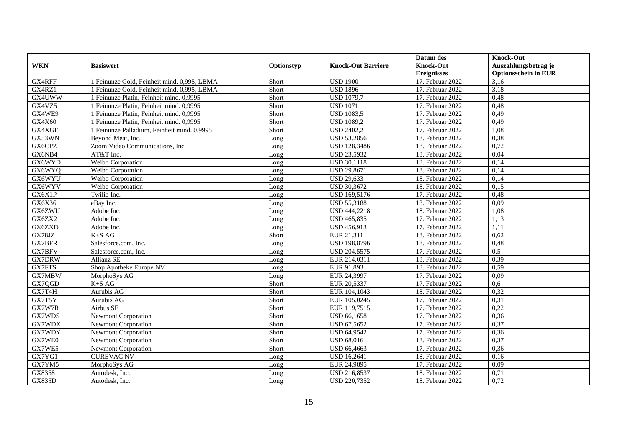|               |                                             |            |                           | Datum des          | <b>Knock-Out</b>            |
|---------------|---------------------------------------------|------------|---------------------------|--------------------|-----------------------------|
| <b>WKN</b>    | <b>Basiswert</b>                            | Optionstyp | <b>Knock-Out Barriere</b> | <b>Knock-Out</b>   | Auszahlungsbetrag je        |
|               |                                             |            |                           | <b>Ereignisses</b> | <b>Optionsschein in EUR</b> |
| GX4RFF        | 1 Feinunze Gold, Feinheit mind. 0,995, LBMA | Short      | <b>USD 1900</b>           | 17. Februar 2022   | 3,16                        |
| GX4RZ1        | 1 Feinunze Gold, Feinheit mind. 0,995, LBMA | Short      | <b>USD 1896</b>           | 17. Februar 2022   | 3,18                        |
| GX4UWW        | 1 Feinunze Platin, Feinheit mind. 0.9995    | Short      | <b>USD 1079,7</b>         | 17. Februar 2022   | 0,48                        |
| GX4VZ5        | 1 Feinunze Platin, Feinheit mind. 0,9995    | Short      | <b>USD 1071</b>           | 17. Februar 2022   | 0,48                        |
| GX4WE9        | 1 Feinunze Platin, Feinheit mind. 0,9995    | Short      | <b>USD 1083,5</b>         | 17. Februar 2022   | 0,49                        |
| GX4X60        | 1 Feinunze Platin, Feinheit mind. 0,9995    | Short      | <b>USD 1089,2</b>         | 17. Februar 2022   | 0,49                        |
| GX4XGE        | 1 Feinunze Palladium, Feinheit mind. 0,9995 | Short      | <b>USD 2402,2</b>         | 17. Februar 2022   | 1,08                        |
| GX53WN        | Beyond Meat, Inc.                           | Long       | <b>USD 53,2856</b>        | 18. Februar 2022   | 0,38                        |
| GX6CPZ        | Zoom Video Communications, Inc.             | Long       | USD 128,3486              | 18. Februar 2022   | 0,72                        |
| GX6NB4        | AT&T Inc.                                   | Long       | <b>USD 23,5932</b>        | 18. Februar 2022   | 0,04                        |
| GX6WYD        | Weibo Corporation                           | Long       | <b>USD 30,1118</b>        | 18. Februar 2022   | 0,14                        |
| GX6WYQ        | Weibo Corporation                           | Long       | <b>USD 29,8671</b>        | 18. Februar 2022   | 0,14                        |
| GX6WYU        | Weibo Corporation                           | Long       | <b>USD 29,633</b>         | 18. Februar 2022   | 0,14                        |
| GX6WYV        | Weibo Corporation                           | Long       | USD 30,3672               | 18. Februar 2022   | 0,15                        |
| GX6X1P        | Twilio Inc.                                 | Long       | USD 169,5176              | 17. Februar 2022   | 0,48                        |
| GX6X36        | eBay Inc.                                   | Long       | <b>USD 55,3188</b>        | 18. Februar 2022   | 0,09                        |
| GX6ZWU        | Adobe Inc.                                  | Long       | USD 444,2218              | 18. Februar 2022   | 1,08                        |
| GX6ZX2        | Adobe Inc.                                  | Long       | USD 465,835               | 17. Februar 2022   | 1,13                        |
| GX6ZXD        | Adobe Inc.                                  | Long       | USD 456,913               | 17. Februar 2022   | 1,11                        |
| GX78JZ        | $K+SAG$                                     | Short      | EUR 21,311                | 18. Februar 2022   | 0,62                        |
| GX7BFR        | Salesforce.com, Inc.                        | Long       | <b>USD 198,8796</b>       | 18. Februar 2022   | 0,48                        |
| GX7BFV        | Salesforce.com, Inc.                        | Long       | USD 204,5575              | 17. Februar 2022   | 0,5                         |
| <b>GX7DRW</b> | Allianz SE                                  | Long       | EUR 214,0311              | 18. Februar 2022   | 0,39                        |
| GX7FTS        | Shop Apotheke Europe NV                     | Long       | EUR 91,893                | 18. Februar 2022   | 0,59                        |
| GX7MBW        | MorphoSys AG                                | Long       | EUR 24,3997               | 17. Februar 2022   | 0.09                        |
| GX7QGD        | $K+SAG$                                     | Short      | EUR 20,5337               | 17. Februar 2022   | 0.6                         |
| GX7T4H        | Aurubis AG                                  | Short      | EUR 104,1043              | 18. Februar 2022   | 0,32                        |
| GX7T5Y        | Aurubis AG                                  | Short      | EUR 105,0245              | 17. Februar 2022   | 0,31                        |
| GX7W7R        | Airbus SE                                   | Short      | EUR 119,7515              | 17. Februar 2022   | 0,22                        |
| GX7WDS        | <b>Newmont Corporation</b>                  | Short      | <b>USD 66,1658</b>        | 17. Februar 2022   | 0,36                        |
| GX7WDX        | Newmont Corporation                         | Short      | USD 67,5652               | 17. Februar 2022   | 0,37                        |
| GX7WDY        | Newmont Corporation                         | Short      | <b>USD 64,9542</b>        | 17. Februar 2022   | 0,36                        |
| GX7WE0        | Newmont Corporation                         | Short      | <b>USD 68,016</b>         | 18. Februar 2022   | 0,37                        |
| GX7WE5        | Newmont Corporation                         | Short      | <b>USD 66,4663</b>        | 17. Februar 2022   | 0,36                        |
| GX7YG1        | <b>CUREVAC NV</b>                           | Long       | <b>USD 16,2641</b>        | 18. Februar 2022   | 0,16                        |
| GX7YM5        | MorphoSys AG                                | Long       | EUR 24,9895               | 17. Februar 2022   | 0,09                        |
| GX8358        | Autodesk, Inc.                              | Long       | USD 216,8537              | 18. Februar 2022   | 0,71                        |
| <b>GX835D</b> | Autodesk, Inc.                              | Long       | USD 220,7352              | 18. Februar 2022   | 0,72                        |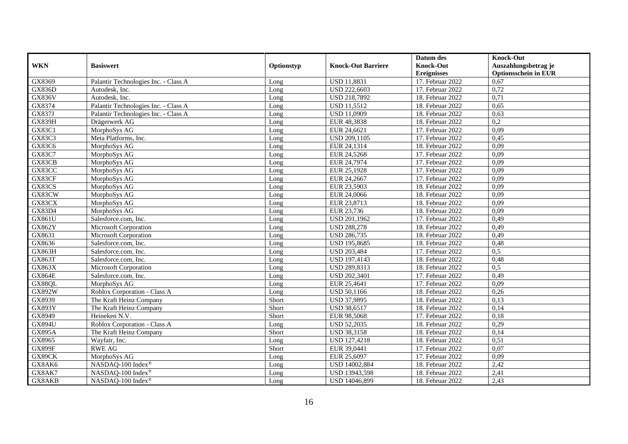|               |                                      |            |                           | Datum des          | <b>Knock-Out</b>            |
|---------------|--------------------------------------|------------|---------------------------|--------------------|-----------------------------|
| <b>WKN</b>    | <b>Basiswert</b>                     | Optionstyp | <b>Knock-Out Barriere</b> | <b>Knock-Out</b>   | Auszahlungsbetrag je        |
|               |                                      |            |                           | <b>Ereignisses</b> | <b>Optionsschein in EUR</b> |
| GX8369        | Palantir Technologies Inc. - Class A | Long       | <b>USD 11,8831</b>        | 17. Februar 2022   | 0,67                        |
| <b>GX836D</b> | Autodesk, Inc.                       | Long       | <b>USD 222,6603</b>       | 17. Februar 2022   | 0,72                        |
| <b>GX836V</b> | Autodesk, Inc.                       | Long       | USD 218,7892              | 18. Februar 2022   | 0,71                        |
| GX8374        | Palantir Technologies Inc. - Class A | Long       | <b>USD 11,5512</b>        | 18. Februar 2022   | 0,65                        |
| GX837J        | Palantir Technologies Inc. - Class A | Long       | <b>USD 11,0909</b>        | 18. Februar 2022   | 0,63                        |
| <b>GX839H</b> | Drägerwerk AG                        | Long       | EUR 48,3838               | 18. Februar 2022   | $\overline{0.2}$            |
| GX83C1        | MorphoSys AG                         | Long       | EUR 24,6621               | 17. Februar 2022   | 0,09                        |
| GX83C3        | Meta Platforms, Inc.                 | Long       | USD 209,1105              | 17. Februar 2022   | 0,45                        |
| GX83C6        | MorphoSys AG                         | Long       | EUR 24,1314               | 18. Februar 2022   | 0,09                        |
| <b>GX83C7</b> | MorphoSys AG                         | Long       | EUR 24,5268               | 17. Februar 2022   | 0,09                        |
| GX83CB        | MorphoSys AG                         | Long       | EUR 24,7974               | 17. Februar 2022   | 0,09                        |
| GX83CC        | MorphoSys AG                         | Long       | EUR 25,1928               | 17. Februar 2022   | 0,09                        |
| GX83CF        | MorphoSys AG                         | Long       | EUR 24,2667               | 17. Februar 2022   | 0,09                        |
| GX83CS        | MorphoSys AG                         | Long       | EUR 23,5903               | 18. Februar 2022   | 0,09                        |
| GX83CW        | MorphoSys AG                         | Long       | EUR 24,0066               | 18. Februar 2022   | 0,09                        |
| GX83CX        | MorphoSys AG                         | Long       | EUR 23,8713               | 18. Februar 2022   | 0,09                        |
| <b>GX83D4</b> | MorphoSys AG                         | Long       | EUR 23,736                | 18. Februar 2022   | 0,09                        |
| GX861U        | Salesforce.com. Inc.                 | Long       | USD 201,1962              | 17. Februar 2022   | 0,49                        |
| GX862Y        | Microsoft Corporation                | Long       | <b>USD 288,278</b>        | 18. Februar 2022   | 0,49                        |
| GX8631        | Microsoft Corporation                | Long       | <b>USD 286,735</b>        | 18. Februar 2022   | 0,49                        |
| GX8636        | Salesforce.com, Inc.                 | Long       | USD 195,8685              | 18. Februar 2022   | 0,48                        |
| <b>GX863H</b> | Salesforce.com, Inc.                 | Long       | <b>USD 203,484</b>        | 17. Februar 2022   | 0,5                         |
| <b>GX863T</b> | Salesforce.com. Inc.                 | Long       | <b>USD 197,4143</b>       | 18. Februar 2022   | 0,48                        |
| GX863X        | Microsoft Corporation                | Long       | USD 289,8313              | 18. Februar 2022   | 0.5                         |
| <b>GX864E</b> | Salesforce.com, Inc.                 | Long       | USD 202,3401              | 17. Februar 2022   | 0,49                        |
| GX88QL        | MorphoSys AG                         | Long       | EUR 25,4641               | 17. Februar 2022   | 0,09                        |
| GX892W        | Roblox Corporation - Class A         | Long       | USD 50,1166               | 18. Februar 2022   | 0,26                        |
| GX8939        | The Kraft Heinz Company              | Short      | USD 37,9895               | 18. Februar 2022   | 0,13                        |
| <b>GX893Y</b> | The Kraft Heinz Company              | Short      | <b>USD 38,6517</b>        | $18.$ Februar 2022 | 0,14                        |
| GX8949        | Heineken N.V.                        | Short      | EUR 98,5068               | 17. Februar 2022   | 0,18                        |
| <b>GX894U</b> | Roblox Corporation - Class A         | Long       | <b>USD 52,2035</b>        | 18. Februar 2022   | 0,29                        |
| <b>GX895A</b> | The Kraft Heinz Company              | Short      | <b>USD 38,3158</b>        | 18. Februar 2022   | 0,14                        |
| GX8965        | Wayfair, Inc.                        | Long       | <b>USD 127,4218</b>       | 18. Februar 2022   | 0,51                        |
| <b>GX899F</b> | <b>RWE AG</b>                        | Short      | EUR 39,0441               | 17. Februar 2022   | 0,07                        |
| GX89CK        | MorphoSys AG                         | Long       | EUR 25,6097               | 17. Februar 2022   | 0,09                        |
| GX8AK6        | NASDAQ-100 Index®                    | Long       | USD 14002,884             | 18. Februar 2022   | 2,42                        |
| GX8AK7        | NASDAQ-100 Index®                    | Long       | USD 13943,598             | 18. Februar 2022   | 2,41                        |
| GX8AKB        | NASDAQ-100 Index®                    | Long       | USD 14046,899             | 18. Februar 2022   | 2,43                        |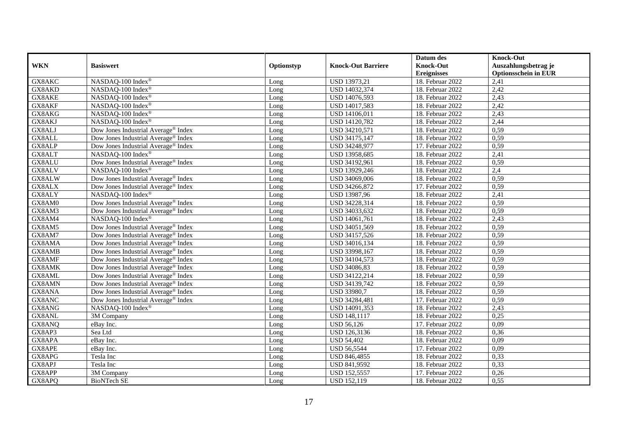|            |                                                 |            |                           | Datum des          | <b>Knock-Out</b>            |
|------------|-------------------------------------------------|------------|---------------------------|--------------------|-----------------------------|
| <b>WKN</b> | <b>Basiswert</b>                                | Optionstyp | <b>Knock-Out Barriere</b> | <b>Knock-Out</b>   | Auszahlungsbetrag je        |
|            |                                                 |            |                           | <b>Ereignisses</b> | <b>Optionsschein in EUR</b> |
| GX8AKC     | NASDAQ-100 Index®                               | Long       | USD 13973,21              | 18. Februar 2022   | 2,41                        |
| GX8AKD     | NASDAQ-100 Index®                               | Long       | USD 14032,374             | 18. Februar 2022   | 2,42                        |
| GX8AKE     | NASDAQ-100 Index®                               | Long       | USD 14076,593             | 18. Februar 2022   | 2,43                        |
| GX8AKF     | NASDAQ-100 Index®                               | Long       | USD 14017,583             | 18. Februar 2022   | 2,42                        |
| GX8AKG     | NASDAQ-100 Index®                               | Long       | USD 14106,011             | 18. Februar 2022   | 2,43                        |
| GX8AKJ     | NASDAQ-100 Index®                               | Long       | <b>USD 14120,782</b>      | 18. Februar 2022   | 2,44                        |
| GX8ALJ     | Dow Jones Industrial Average® Index             | Long       | USD 34210,571             | 18. Februar 2022   | 0,59                        |
| GX8ALL     | Dow Jones Industrial Average <sup>®</sup> Index | Long       | USD 34175,147             | 18. Februar 2022   | 0,59                        |
| GX8ALP     | Dow Jones Industrial Average® Index             | Long       | USD 34248,977             | 17. Februar 2022   | 0,59                        |
| GX8ALT     | NASDAQ-100 Index®                               | Long       | USD 13958,685             | 18. Februar 2022   | 2,41                        |
| GX8ALU     | Dow Jones Industrial Average® Index             | Long       | USD 34192,961             | 18. Februar 2022   | 0,59                        |
| GX8ALV     | NASDAQ-100 Index®                               | Long       | USD 13929,246             | 18. Februar 2022   | 2,4                         |
| GX8ALW     | Dow Jones Industrial Average® Index             | Long       | USD 34069,006             | 18. Februar 2022   | 0,59                        |
| GX8ALX     | Dow Jones Industrial Average <sup>®</sup> Index | Long       | USD 34266,872             | 17. Februar 2022   | 0,59                        |
| GX8ALY     | NASDAQ-100 Index®                               | Long       | USD 13987,96              | 18. Februar 2022   | 2,41                        |
| GX8AM0     | Dow Jones Industrial Average <sup>®</sup> Index | Long       | USD 34228,314             | 18. Februar 2022   | 0,59                        |
| GX8AM3     | Dow Jones Industrial Average <sup>®</sup> Index | Long       | USD 34033,632             | 18. Februar 2022   | 0,59                        |
| GX8AM4     | NASDAQ-100 Index®                               | Long       | USD 14061,761             | 18. Februar 2022   | 2,43                        |
| GX8AM5     | Dow Jones Industrial Average® Index             | Long       | USD 34051,569             | 18. Februar 2022   | 0,59                        |
| GX8AM7     | Dow Jones Industrial Average <sup>®</sup> Index | Long       | USD 34157,526             | 18. Februar 2022   | 0,59                        |
| GX8AMA     | Dow Jones Industrial Average <sup>®</sup> Index | Long       | USD 34016,134             | 18. Februar 2022   | 0,59                        |
| GX8AMB     | Dow Jones Industrial Average <sup>®</sup> Index | Long       | USD 33998,167             | 18. Februar 2022   | 0,59                        |
| GX8AMF     | Dow Jones Industrial Average® Index             | Long       | USD 34104,573             | 18. Februar 2022   | 0,59                        |
| GX8AMK     | Dow Jones Industrial Average® Index             | Long       | USD 34086,83              | 18. Februar 2022   | 0,59                        |
| GX8AML     | Dow Jones Industrial Average <sup>®</sup> Index | Long       | USD 34122,214             | 18. Februar 2022   | 0,59                        |
| GX8AMN     | Dow Jones Industrial Average® Index             | Long       | USD 34139,742             | 18. Februar 2022   | 0,59                        |
| GX8ANA     | Dow Jones Industrial Average® Index             | Long       | USD 33980,7               | 18. Februar 2022   | 0,59                        |
| GX8ANC     | Dow Jones Industrial Average® Index             | Long       | USD 34284,481             | 17. Februar 2022   | 0,59                        |
| GX8ANG     | NASDAQ-100 Index®                               | Long       | USD 14091,353             | 18. Februar 2022   | 2,43                        |
| GX8ANL     | 3M Company                                      | Long       | USD 148,1117              | 18. Februar 2022   | 0,25                        |
| GX8ANQ     | eBay Inc.                                       | Long       | <b>USD 56,126</b>         | 17. Februar 2022   | 0,09                        |
| GX8AP3     | Sea Ltd                                         | Long       | USD 126,3136              | 18. Februar 2022   | 0,36                        |
| GX8APA     | eBay Inc.                                       | Long       | <b>USD 54,402</b>         | 18. Februar 2022   | 0,09                        |
| GX8APE     | eBay Inc.                                       | Long       | <b>USD 56,5544</b>        | 17. Februar 2022   | 0,09                        |
| GX8APG     | Tesla Inc                                       | Long       | USD 846,4855              | 18. Februar 2022   | 0,33                        |
| GX8APJ     | Tesla Inc                                       | Long       | USD 841,9592              | 18. Februar 2022   | 0,33                        |
| GX8APP     | 3M Company                                      | Long       | <b>USD 152,5557</b>       | 17. Februar 2022   | 0,26                        |
| GX8APQ     | <b>BioNTech SE</b>                              | Long       | <b>USD 152,119</b>        | 18. Februar 2022   | 0,55                        |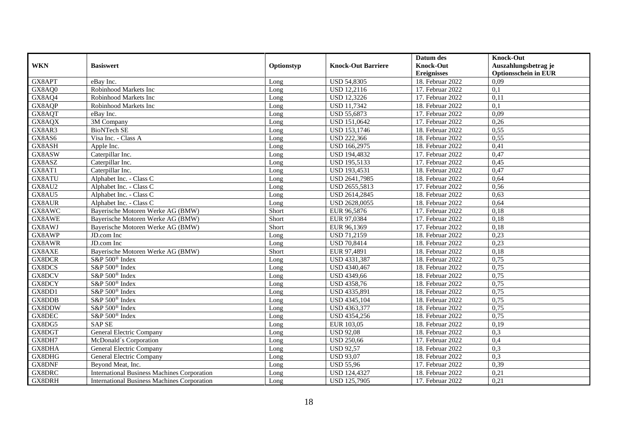|               |                                                    |            |                           | Datum des          | <b>Knock-Out</b>            |
|---------------|----------------------------------------------------|------------|---------------------------|--------------------|-----------------------------|
| <b>WKN</b>    | <b>Basiswert</b>                                   | Optionstyp | <b>Knock-Out Barriere</b> | <b>Knock-Out</b>   | Auszahlungsbetrag je        |
|               |                                                    |            |                           | <b>Ereignisses</b> | <b>Optionsschein in EUR</b> |
| GX8APT        | eBay Inc.                                          | Long       | <b>USD 54,8305</b>        | 18. Februar 2022   | 0,09                        |
| GX8AQ0        | Robinhood Markets Inc                              | Long       | <b>USD 12,2116</b>        | 17. Februar 2022   | 0,1                         |
| GX8AQ4        | Robinhood Markets Inc                              | Long       | <b>USD 12,3226</b>        | 17. Februar 2022   | 0,11                        |
| GX8AQP        | Robinhood Markets Inc                              | Long       | <b>USD 11,7342</b>        | 18. Februar 2022   | 0,1                         |
| GX8AQT        | eBay Inc.                                          | Long       | <b>USD 55,6873</b>        | 17. Februar 2022   | 0.09                        |
| GX8AQX        | 3M Company                                         | Long       | USD 151,0642              | 17. Februar 2022   | 0,26                        |
| GX8AR3        | <b>BioNTech SE</b>                                 | Long       | USD 153,1746              | 18. Februar 2022   | 0,55                        |
| GX8AS6        | Visa Inc. - Class A                                | Long       | <b>USD 222,366</b>        | 18. Februar 2022   | 0,55                        |
| GX8ASH        | Apple Inc.                                         | Long       | <b>USD 166,2975</b>       | 18. Februar 2022   | 0,41                        |
| GX8ASW        | Caterpillar Inc.                                   | Long       | USD 194,4832              | 17. Februar 2022   | 0,47                        |
| GX8ASZ        | Caterpillar Inc.                                   | Long       | <b>USD 195,5133</b>       | 17. Februar 2022   | 0,45                        |
| GX8AT1        | Caterpillar Inc.                                   | Long       | <b>USD 193,4531</b>       | 18. Februar 2022   | 0,47                        |
| GX8ATU        | Alphabet Inc. - Class C                            | Long       | USD 2641,7985             | 18. Februar 2022   | 0,64                        |
| GX8AU2        | Alphabet Inc. - Class C                            | Long       | USD 2655,5813             | 17. Februar 2022   | 0,56                        |
| GX8AU5        | Alphabet Inc. - Class C                            | Long       | USD 2614,2845             | 18. Februar 2022   | 0,63                        |
| <b>GX8AUR</b> | Alphabet Inc. - Class C                            | Long       | USD 2628,0055             | 18. Februar 2022   | 0,64                        |
| GX8AWC        | Bayerische Motoren Werke AG (BMW)                  | Short      | EUR 96,5876               | 17. Februar 2022   | 0,18                        |
| GX8AWE        | Bayerische Motoren Werke AG (BMW)                  | Short      | EUR 97,0384               | 17. Februar 2022   | 0,18                        |
| GX8AWJ        | Bayerische Motoren Werke AG (BMW)                  | Short      | EUR 96,1369               | 17. Februar 2022   | 0,18                        |
| GX8AWP        | JD.com Inc                                         | Long       | USD 71,2159               | 18. Februar 2022   | 0,23                        |
| GX8AWR        | JD.com Inc.                                        | Long       | <b>USD 70,8414</b>        | 18. Februar 2022   | 0,23                        |
| GX8AXE        | Bayerische Motoren Werke AG (BMW)                  | Short      | EUR 97,4891               | 18. Februar 2022   | 0,18                        |
| GX8DCR        | S&P 500 <sup>®</sup> Index                         | Long       | USD 4331,387              | 18. Februar 2022   | 0,75                        |
| GX8DCS        | S&P 500® Index                                     | Long       | USD 4340,467              | 18. Februar 2022   | 0,75                        |
| GX8DCV        | S&P 500 <sup>®</sup> Index                         | Long       | USD 4349,66               | 18. Februar 2022   | 0,75                        |
| GX8DCY        | S&P 500 <sup>®</sup> Index                         | Long       | <b>USD 4358,76</b>        | 18. Februar 2022   | 0,75                        |
| GX8DD1        | S&P 500 <sup>®</sup> Index                         | Long       | USD 4335,891              | 18. Februar 2022   | 0,75                        |
| GX8DDB        | S&P 500 <sup>®</sup> Index                         | Long       | USD 4345,104              | 18. Februar 2022   | 0,75                        |
| GX8DDW        | S&P 500 <sup>®</sup> Index                         | Long       | USD 4363,377              | 18. Februar 2022   | 0,75                        |
| GX8DEC        | S&P 500 <sup>®</sup> Index                         | Long       | USD 4354,256              | 18. Februar 2022   | 0,75                        |
| GX8DG5        | <b>SAP SE</b>                                      | Long       | EUR 103,05                | 18. Februar 2022   | 0,19                        |
| GX8DGT        | General Electric Company                           | Long       | <b>USD 92,08</b>          | 18. Februar 2022   | 0,3                         |
| GX8DH7        | McDonald's Corporation                             | Long       | <b>USD 250,66</b>         | 17. Februar 2022   | 0,4                         |
| GX8DHA        | General Electric Company                           | Long       | <b>USD 92,57</b>          | 18. Februar 2022   | 0,3                         |
| GX8DHG        | <b>General Electric Company</b>                    | Long       | <b>USD 93,07</b>          | 18. Februar 2022   | 0,3                         |
| GX8DNF        | Beyond Meat, Inc.                                  | Long       | <b>USD</b> 55,96          | 17. Februar 2022   | 0,39                        |
| GX8DRC        | <b>International Business Machines Corporation</b> | Long       | <b>USD 124,4327</b>       | 18. Februar 2022   | 0,21                        |
| GX8DRH        | <b>International Business Machines Corporation</b> | Long       | <b>USD 125,7905</b>       | 17. Februar 2022   | 0,21                        |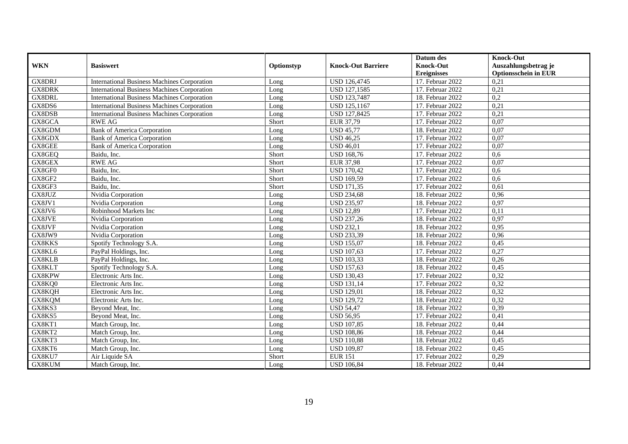|               |                                                    |            |                           | Datum des          | <b>Knock-Out</b>            |
|---------------|----------------------------------------------------|------------|---------------------------|--------------------|-----------------------------|
| <b>WKN</b>    | <b>Basiswert</b>                                   | Optionstyp | <b>Knock-Out Barriere</b> | <b>Knock-Out</b>   | Auszahlungsbetrag je        |
|               |                                                    |            |                           | <b>Ereignisses</b> | <b>Optionsschein in EUR</b> |
| <b>GX8DRJ</b> | <b>International Business Machines Corporation</b> | Long       | <b>USD 126,4745</b>       | 17. Februar 2022   | 0.21                        |
| <b>GX8DRK</b> | <b>International Business Machines Corporation</b> | Long       | <b>USD 127,1585</b>       | 17. Februar 2022   | 0,21                        |
| <b>GX8DRL</b> | <b>International Business Machines Corporation</b> | Long       | USD 123,7487              | 18. Februar 2022   | 0,2                         |
| GX8DS6        | <b>International Business Machines Corporation</b> | Long       | <b>USD 125,1167</b>       | 17. Februar 2022   | 0,21                        |
| GX8DSB        | <b>International Business Machines Corporation</b> | Long       | USD 127,8425              | 17. Februar 2022   | 0,21                        |
| GX8GCA        | <b>RWE AG</b>                                      | Short      | EUR 37,79                 | 17. Februar 2022   | 0,07                        |
| GX8GDM        | <b>Bank of America Corporation</b>                 | Long       | <b>USD 45,77</b>          | 18. Februar 2022   | 0,07                        |
| GX8GDX        | <b>Bank of America Corporation</b>                 | Long       | <b>USD 46,25</b>          | 17. Februar 2022   | 0,07                        |
| GX8GEE        | Bank of America Corporation                        | Long       | <b>USD 46,01</b>          | 17. Februar 2022   | 0,07                        |
| GX8GEQ        | Baidu, Inc.                                        | Short      | <b>USD 168,76</b>         | 17. Februar 2022   | 0.6                         |
| GX8GEX        | <b>RWE AG</b>                                      | Short      | <b>EUR 37,98</b>          | 17. Februar 2022   | 0,07                        |
| GX8GF0        | Baidu, Inc.                                        | Short      | <b>USD</b> 170,42         | 17. Februar 2022   | 0,6                         |
| GX8GF2        | Baidu, Inc.                                        | Short      | <b>USD 169,59</b>         | 17. Februar 2022   | 0.6                         |
| GX8GF3        | Baidu, Inc.                                        | Short      | <b>USD 171,35</b>         | 17. Februar 2022   | 0,61                        |
| GX8JUZ        | Nvidia Corporation                                 | Long       | <b>USD 234,68</b>         | 18. Februar 2022   | 0,96                        |
| GX8JV1        | Nvidia Corporation                                 | Long       | <b>USD 235,97</b>         | 18. Februar 2022   | 0,97                        |
| GX8JV6        | Robinhood Markets Inc                              | Long       | <b>USD 12,89</b>          | 17. Februar 2022   | 0,11                        |
| <b>GX8JVE</b> | Nvidia Corporation                                 | Long       | <b>USD 237,26</b>         | 18. Februar 2022   | 0,97                        |
| GX8JVF        | Nvidia Corporation                                 | Long       | <b>USD 232,1</b>          | 18. Februar 2022   | 0,95                        |
| GX8JW9        | Nvidia Corporation                                 | Long       | <b>USD 233,39</b>         | 18. Februar 2022   | 0,96                        |
| GX8KKS        | Spotify Technology S.A.                            | Long       | <b>USD 155,07</b>         | 18. Februar 2022   | 0,45                        |
| GX8KL6        | PayPal Holdings, Inc.                              | Long       | <b>USD 107,63</b>         | 17. Februar 2022   | 0,27                        |
| <b>GX8KLB</b> | PayPal Holdings, Inc.                              | Long       | <b>USD 103,33</b>         | 18. Februar 2022   | 0,26                        |
| GX8KLT        | Spotify Technology S.A.                            | Long       | <b>USD 157,63</b>         | 18. Februar 2022   | 0.45                        |
| GX8KPW        | Electronic Arts Inc.                               | Long       | <b>USD 130,43</b>         | 17. Februar 2022   | 0,32                        |
| GX8KQ0        | Electronic Arts Inc.                               | Long       | <b>USD 131,14</b>         | 17. Februar 2022   | 0,32                        |
| GX8KQH        | Electronic Arts Inc.                               | Long       | <b>USD 129,01</b>         | 18. Februar 2022   | 0,32                        |
| GX8KQM        | Electronic Arts Inc.                               | Long       | <b>USD 129,72</b>         | 18. Februar 2022   | 0,32                        |
| GX8KS3        | Beyond Meat, Inc.                                  | Long       | <b>USD 54,47</b>          | 18. Februar 2022   | 0,39                        |
| GX8KS5        | Beyond Meat, Inc.                                  | Long       | <b>USD 56,95</b>          | 17. Februar 2022   | 0,41                        |
| GX8KT1        | Match Group, Inc.                                  | Long       | <b>USD 107,85</b>         | 18. Februar 2022   | 0,44                        |
| GX8KT2        | Match Group, Inc.                                  | Long       | <b>USD 108,86</b>         | 18. Februar 2022   | 0,44                        |
| GX8KT3        | Match Group, Inc.                                  | Long       | <b>USD 110,88</b>         | 18. Februar 2022   | 0,45                        |
| GX8KT6        | Match Group, Inc.                                  | Long       | <b>USD 109,87</b>         | 18. Februar 2022   | 0,45                        |
| GX8KU7        | Air Liquide SA                                     | Short      | <b>EUR 151</b>            | 17. Februar 2022   | 0,29                        |
| GX8KUM        | Match Group, Inc.                                  | Long       | <b>USD 106,84</b>         | 18. Februar 2022   | 0,44                        |